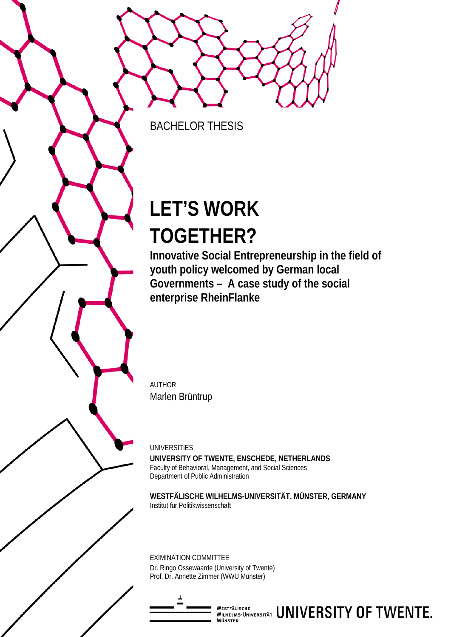BACHELOR THESIS

# **LET'S WORK TOGETHER?**

**Innovative Social Entrepreneurship in the field of youth policy welcomed by German local Governments – A case study of the social enterprise RheinFlanke**

AUTHOR Marlen Brüntrup

UNIVERSITIES **UNIVERSITY OF TWENTE, ENSCHEDE, NETHERLANDS** Faculty of Behavioral, Management, and Social Sciences Department of Public Administration

**WESTFÄLISCHE WILHELMS-UNIVERSITÄT, MÜNSTER, GERMANY** Institut für Politikwissenschaft

EXIMINATION COMMITTEE Dr. Ringo Ossewaarde (University of Twente) Prof. Dr. Annette Zimmer (WWU Münster)

**MÜNSTER** 

WESTFÄLISCHE **UNIVERSITY OF TWENTE.**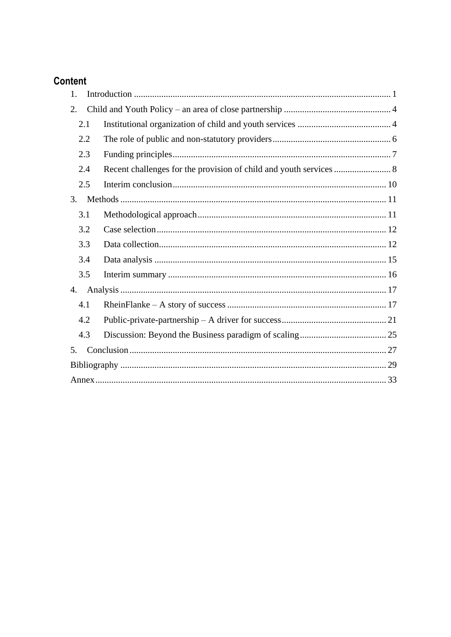# Content

| 1.  |  |
|-----|--|
| 2.  |  |
| 2.1 |  |
| 2.2 |  |
| 2.3 |  |
| 2.4 |  |
| 2.5 |  |
| 3.  |  |
| 3.1 |  |
| 3.2 |  |
| 3.3 |  |
| 3.4 |  |
| 3.5 |  |
| 4.  |  |
| 4.1 |  |
| 4.2 |  |
| 4.3 |  |
| 5.  |  |
|     |  |
|     |  |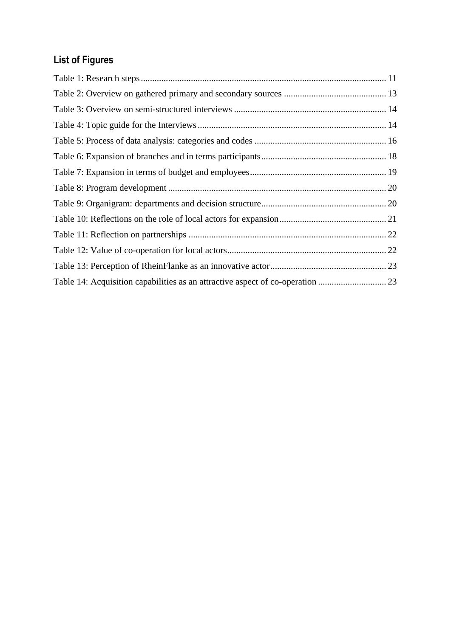# **List of Figures**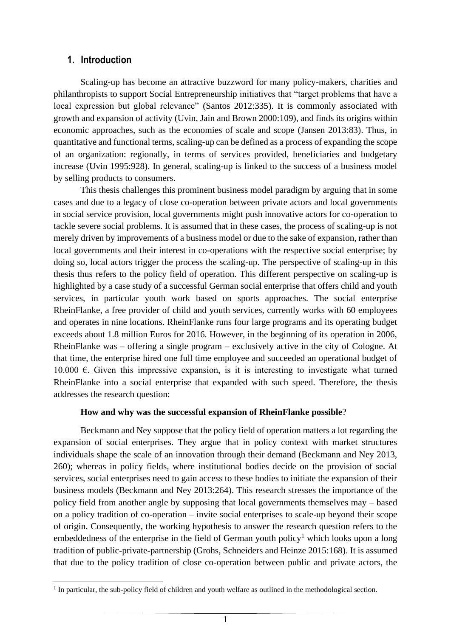#### <span id="page-3-0"></span>**1. Introduction**

Scaling-up has become an attractive buzzword for many policy-makers, charities and philanthropists to support Social Entrepreneurship initiatives that "target problems that have a local expression but global relevance" (Santos 2012:335). It is commonly associated with growth and expansion of activity (Uvin, Jain and Brown 2000:109), and finds its origins within economic approaches, such as the economies of scale and scope (Jansen 2013:83). Thus, in quantitative and functional terms, scaling-up can be defined as a process of expanding the scope of an organization: regionally, in terms of services provided, beneficiaries and budgetary increase (Uvin 1995:928). In general, scaling-up is linked to the success of a business model by selling products to consumers.

This thesis challenges this prominent business model paradigm by arguing that in some cases and due to a legacy of close co-operation between private actors and local governments in social service provision, local governments might push innovative actors for co-operation to tackle severe social problems. It is assumed that in these cases, the process of scaling-up is not merely driven by improvements of a business model or due to the sake of expansion, rather than local governments and their interest in co-operations with the respective social enterprise; by doing so, local actors trigger the process the scaling-up. The perspective of scaling-up in this thesis thus refers to the policy field of operation. This different perspective on scaling-up is highlighted by a case study of a successful German social enterprise that offers child and youth services, in particular youth work based on sports approaches. The social enterprise RheinFlanke, a free provider of child and youth services, currently works with 60 employees and operates in nine locations. RheinFlanke runs four large programs and its operating budget exceeds about 1.8 million Euros for 2016. However, in the beginning of its operation in 2006, RheinFlanke was – offering a single program – exclusively active in the city of Cologne. At that time, the enterprise hired one full time employee and succeeded an operational budget of 10.000 €. Given this impressive expansion, is it is interesting to investigate what turned RheinFlanke into a social enterprise that expanded with such speed. Therefore, the thesis addresses the research question:

#### **How and why was the successful expansion of RheinFlanke possible**?

Beckmann and Ney suppose that the policy field of operation matters a lot regarding the expansion of social enterprises. They argue that in policy context with market structures individuals shape the scale of an innovation through their demand (Beckmann and Ney 2013, 260); whereas in policy fields, where institutional bodies decide on the provision of social services, social enterprises need to gain access to these bodies to initiate the expansion of their business models (Beckmann and Ney 2013:264). This research stresses the importance of the policy field from another angle by supposing that local governments themselves may – based on a policy tradition of co-operation – invite social enterprises to scale-up beyond their scope of origin. Consequently, the working hypothesis to answer the research question refers to the embeddedness of the enterprise in the field of German youth policy<sup>1</sup> which looks upon a long tradition of public-private-partnership (Grohs, Schneiders and Heinze 2015:168). It is assumed that due to the policy tradition of close co-operation between public and private actors, the

<sup>&</sup>lt;u>.</u> <sup>1</sup> In particular, the sub-policy field of children and youth welfare as outlined in the methodological section.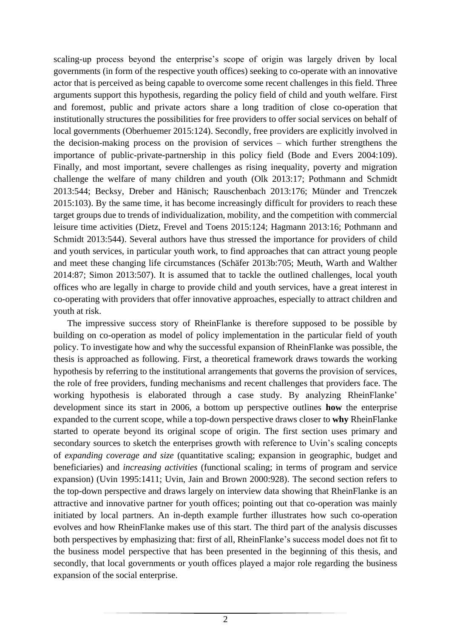scaling-up process beyond the enterprise's scope of origin was largely driven by local governments (in form of the respective youth offices) seeking to co-operate with an innovative actor that is perceived as being capable to overcome some recent challenges in this field. Three arguments support this hypothesis, regarding the policy field of child and youth welfare. First and foremost, public and private actors share a long tradition of close co-operation that institutionally structures the possibilities for free providers to offer social services on behalf of local governments (Oberhuemer 2015:124). Secondly, free providers are explicitly involved in the decision-making process on the provision of services – which further strengthens the importance of public-private-partnership in this policy field (Bode and Evers 2004:109). Finally, and most important, severe challenges as rising inequality, poverty and migration challenge the welfare of many children and youth (Olk 2013:17; Pothmann and Schmidt 2013:544; Becksy, Dreber and Hänisch; Rauschenbach 2013:176; Münder and Trenczek 2015:103). By the same time, it has become increasingly difficult for providers to reach these target groups due to trends of individualization, mobility, and the competition with commercial leisure time activities (Dietz, Frevel and Toens 2015:124; Hagmann 2013:16; Pothmann and Schmidt 2013:544). Several authors have thus stressed the importance for providers of child and youth services, in particular youth work, to find approaches that can attract young people and meet these changing life circumstances (Schäfer 2013b:705; Meuth, Warth and Walther 2014:87; Simon 2013:507). It is assumed that to tackle the outlined challenges, local youth offices who are legally in charge to provide child and youth services, have a great interest in co-operating with providers that offer innovative approaches, especially to attract children and youth at risk.

The impressive success story of RheinFlanke is therefore supposed to be possible by building on co-operation as model of policy implementation in the particular field of youth policy. To investigate how and why the successful expansion of RheinFlanke was possible, the thesis is approached as following. First, a theoretical framework draws towards the working hypothesis by referring to the institutional arrangements that governs the provision of services, the role of free providers, funding mechanisms and recent challenges that providers face. The working hypothesis is elaborated through a case study. By analyzing RheinFlanke' development since its start in 2006, a bottom up perspective outlines **how** the enterprise expanded to the current scope, while a top-down perspective draws closer to **why** RheinFlanke started to operate beyond its original scope of origin. The first section uses primary and secondary sources to sketch the enterprises growth with reference to Uvin's scaling concepts of *expanding coverage and size* (quantitative scaling; expansion in geographic, budget and beneficiaries) and *increasing activities* (functional scaling; in terms of program and service expansion) (Uvin 1995:1411; Uvin, Jain and Brown 2000:928). The second section refers to the top-down perspective and draws largely on interview data showing that RheinFlanke is an attractive and innovative partner for youth offices; pointing out that co-operation was mainly initiated by local partners. An in-depth example further illustrates how such co-operation evolves and how RheinFlanke makes use of this start. The third part of the analysis discusses both perspectives by emphasizing that: first of all, RheinFlanke's success model does not fit to the business model perspective that has been presented in the beginning of this thesis, and secondly, that local governments or youth offices played a major role regarding the business expansion of the social enterprise.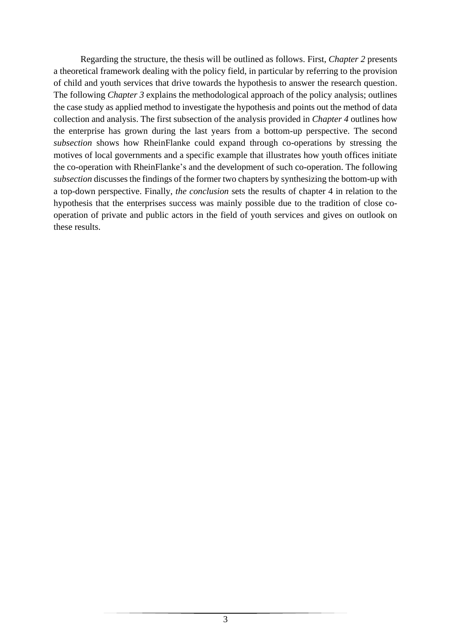Regarding the structure, the thesis will be outlined as follows. First, *Chapter 2* presents a theoretical framework dealing with the policy field, in particular by referring to the provision of child and youth services that drive towards the hypothesis to answer the research question. The following *Chapter 3* explains the methodological approach of the policy analysis; outlines the case study as applied method to investigate the hypothesis and points out the method of data collection and analysis. The first subsection of the analysis provided in *Chapter 4* outlines how the enterprise has grown during the last years from a bottom-up perspective. The second *subsection* shows how RheinFlanke could expand through co-operations by stressing the motives of local governments and a specific example that illustrates how youth offices initiate the co-operation with RheinFlanke's and the development of such co-operation. The following *subsection* discusses the findings of the former two chapters by synthesizing the bottom-up with a top-down perspective. Finally, *the conclusion* sets the results of chapter 4 in relation to the hypothesis that the enterprises success was mainly possible due to the tradition of close cooperation of private and public actors in the field of youth services and gives on outlook on these results.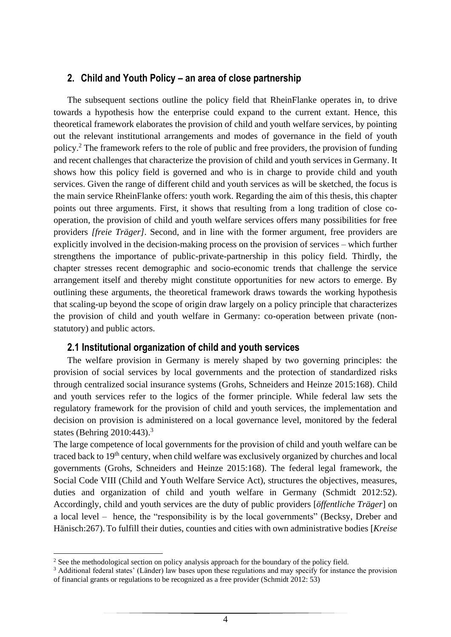#### <span id="page-6-0"></span>**2. Child and Youth Policy – an area of close partnership**

The subsequent sections outline the policy field that RheinFlanke operates in, to drive towards a hypothesis how the enterprise could expand to the current extant. Hence, this theoretical framework elaborates the provision of child and youth welfare services, by pointing out the relevant institutional arrangements and modes of governance in the field of youth policy.<sup>2</sup> The framework refers to the role of public and free providers, the provision of funding and recent challenges that characterize the provision of child and youth services in Germany. It shows how this policy field is governed and who is in charge to provide child and youth services. Given the range of different child and youth services as will be sketched, the focus is the main service RheinFlanke offers: youth work. Regarding the aim of this thesis, this chapter points out three arguments. First, it shows that resulting from a long tradition of close cooperation, the provision of child and youth welfare services offers many possibilities for free providers *[freie Träger]*. Second, and in line with the former argument, free providers are explicitly involved in the decision-making process on the provision of services – which further strengthens the importance of public-private-partnership in this policy field. Thirdly, the chapter stresses recent demographic and socio-economic trends that challenge the service arrangement itself and thereby might constitute opportunities for new actors to emerge. By outlining these arguments, the theoretical framework draws towards the working hypothesis that scaling-up beyond the scope of origin draw largely on a policy principle that characterizes the provision of child and youth welfare in Germany: co-operation between private (nonstatutory) and public actors.

#### **2.1 Institutional organization of child and youth services**

<span id="page-6-1"></span>The welfare provision in Germany is merely shaped by two governing principles: the provision of social services by local governments and the protection of standardized risks through centralized social insurance systems (Grohs, Schneiders and Heinze 2015:168). Child and youth services refer to the logics of the former principle. While federal law sets the regulatory framework for the provision of child and youth services, the implementation and decision on provision is administered on a local governance level, monitored by the federal states (Behring 2010:443). 3

The large competence of local governments for the provision of child and youth welfare can be traced back to 19<sup>th</sup> century, when child welfare was exclusively organized by churches and local governments (Grohs, Schneiders and Heinze 2015:168). The federal legal framework, the Social Code VIII (Child and Youth Welfare Service Act), structures the objectives, measures, duties and organization of child and youth welfare in Germany (Schmidt 2012:52). Accordingly, child and youth services are the duty of public providers [*öffentliche Träger*] on a local level – hence, the "responsibility is by the local governments" (Becksy, Dreber and Hänisch:267).To fulfill their duties, counties and cities with own administrative bodies [*Kreise* 

1

<sup>&</sup>lt;sup>2</sup> See the methodological section on policy analysis approach for the boundary of the policy field.

<sup>&</sup>lt;sup>3</sup> Additional federal states' (Länder) law bases upon these regulations and may specify for instance the provision of financial grants or regulations to be recognized as a free provider (Schmidt 2012: 53)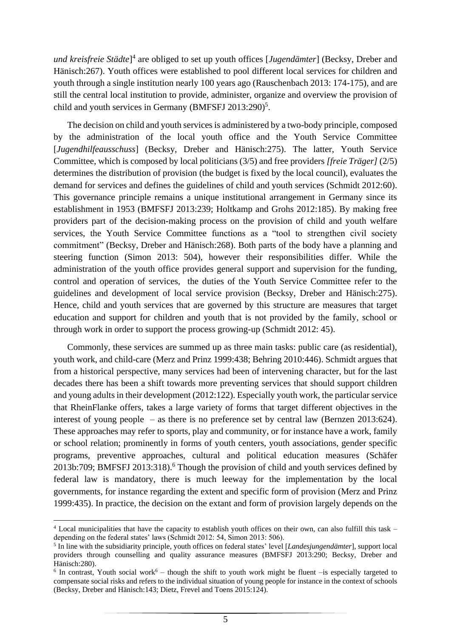*und kreisfreie Städte*] 4 are obliged to set up youth offices [*Jugendämter*] (Becksy, Dreber and Hänisch:267). Youth offices were established to pool different local services for children and youth through a single institution nearly 100 years ago (Rauschenbach 2013: 174-175), and are still the central local institution to provide, administer, organize and overview the provision of child and youth services in Germany (BMFSFJ 2013:290)<sup>5</sup>.

The decision on child and youth services is administered by a two-body principle, composed by the administration of the local youth office and the Youth Service Committee [*Jugendhilfeausschuss*] (Becksy, Dreber and Hänisch:275). The latter, Youth Service Committee, which is composed by local politicians (3/5) and free providers *[freie Träger]* (2/5) determines the distribution of provision (the budget is fixed by the local council), evaluates the demand for services and defines the guidelines of child and youth services (Schmidt 2012:60). This governance principle remains a unique institutional arrangement in Germany since its establishment in 1953 (BMFSFJ 2013:239; Holtkamp and Grohs 2012:185). By making free providers part of the decision-making process on the provision of child and youth welfare services, the Youth Service Committee functions as a "tool to strengthen civil society commitment" (Becksy, Dreber and Hänisch:268). Both parts of the body have a planning and steering function (Simon 2013: 504), however their responsibilities differ. While the administration of the youth office provides general support and supervision for the funding, control and operation of services, the duties of the Youth Service Committee refer to the guidelines and development of local service provision (Becksy, Dreber and Hänisch:275). Hence, child and youth services that are governed by this structure are measures that target education and support for children and youth that is not provided by the family, school or through work in order to support the process growing-up (Schmidt 2012: 45).

Commonly, these services are summed up as three main tasks: public care (as residential), youth work, and child-care (Merz and Prinz 1999:438; Behring 2010:446). Schmidt argues that from a historical perspective, many services had been of intervening character, but for the last decades there has been a shift towards more preventing services that should support children and young adults in their development (2012:122). Especially youth work, the particular service that RheinFlanke offers, takes a large variety of forms that target different objectives in the interest of young people – as there is no preference set by central law (Bernzen 2013:624). These approaches may refer to sports, play and community, or for instance have a work, family or school relation; prominently in forms of youth centers, youth associations, gender specific programs, preventive approaches, cultural and political education measures (Schäfer 2013b:709; BMFSFJ 2013:318). <sup>6</sup> Though the provision of child and youth services defined by federal law is mandatory, there is much leeway for the implementation by the local governments, for instance regarding the extent and specific form of provision (Merz and Prinz 1999:435). In practice, the decision on the extant and form of provision largely depends on the

<u>.</u>

<sup>4</sup> Local municipalities that have the capacity to establish youth offices on their own, can also fulfill this task – depending on the federal states' laws (Schmidt 2012: 54, Simon 2013: 506).

<sup>5</sup> In line with the subsidiarity principle, youth offices on federal states' level [*Landesjungendämter*], support local providers through counselling and quality assurance measures (BMFSFJ 2013:290; Becksy, Dreber and Hänisch:280).

 $6$  In contrast, Youth social work $6$  – though the shift to youth work might be fluent –is especially targeted to compensate social risks and refers to the individual situation of young people for instance in the context of schools (Becksy, Dreber and Hänisch:143; Dietz, Frevel and Toens 2015:124).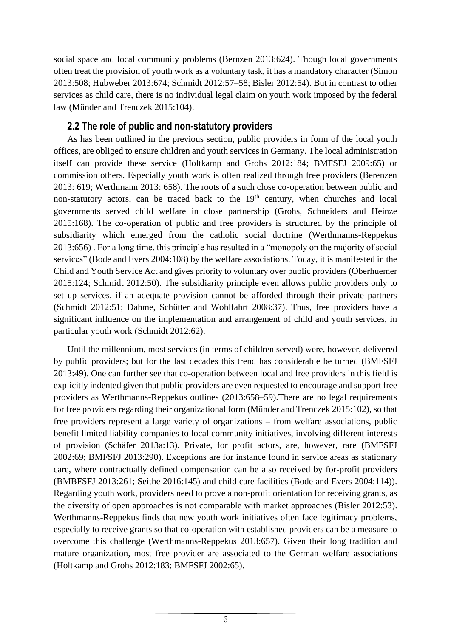social space and local community problems (Bernzen 2013:624). Though local governments often treat the provision of youth work as a voluntary task, it has a mandatory character (Simon 2013:508; Hubweber 2013:674; Schmidt 2012:57–58; Bisler 2012:54). But in contrast to other services as child care, there is no individual legal claim on youth work imposed by the federal law (Münder and Trenczek 2015:104).

#### **2.2 The role of public and non-statutory providers**

<span id="page-8-0"></span>As has been outlined in the previous section, public providers in form of the local youth offices, are obliged to ensure children and youth services in Germany. The local administration itself can provide these service (Holtkamp and Grohs 2012:184; BMFSFJ 2009:65) or commission others. Especially youth work is often realized through free providers (Berenzen 2013: 619; Werthmann 2013: 658). The roots of a such close co-operation between public and non-statutory actors, can be traced back to the  $19<sup>th</sup>$  century, when churches and local governments served child welfare in close partnership (Grohs, Schneiders and Heinze 2015:168). The co-operation of public and free providers is structured by the principle of subsidiarity which emerged from the catholic social doctrine (Werthmanns-Reppekus 2013:656) . For a long time, this principle has resulted in a "monopoly on the majority of social services" (Bode and Evers 2004:108) by the welfare associations. Today, it is manifested in the Child and Youth Service Act and gives priority to voluntary over public providers (Oberhuemer 2015:124; Schmidt 2012:50). The subsidiarity principle even allows public providers only to set up services, if an adequate provision cannot be afforded through their private partners (Schmidt 2012:51; Dahme, Schütter and Wohlfahrt 2008:37). Thus, free providers have a significant influence on the implementation and arrangement of child and youth services, in particular youth work (Schmidt 2012:62).

Until the millennium, most services (in terms of children served) were, however, delivered by public providers; but for the last decades this trend has considerable be turned (BMFSFJ 2013:49). One can further see that co-operation between local and free providers in this field is explicitly indented given that public providers are even requested to encourage and support free providers as Werthmanns-Reppekus outlines (2013:658–59).There are no legal requirements for free providers regarding their organizational form (Münder and Trenczek 2015:102), so that free providers represent a large variety of organizations – from welfare associations, public benefit limited liability companies to local community initiatives, involving different interests of provision (Schäfer 2013a:13). Private, for profit actors, are, however, rare (BMFSFJ 2002:69; BMFSFJ 2013:290). Exceptions are for instance found in service areas as stationary care, where contractually defined compensation can be also received by for-profit providers (BMBFSFJ 2013:261; Seithe 2016:145) and child care facilities (Bode and Evers 2004:114)). Regarding youth work, providers need to prove a non-profit orientation for receiving grants, as the diversity of open approaches is not comparable with market approaches (Bisler 2012:53). Werthmanns-Reppekus finds that new youth work initiatives often face legitimacy problems, especially to receive grants so that co-operation with established providers can be a measure to overcome this challenge (Werthmanns-Reppekus 2013:657). Given their long tradition and mature organization, most free provider are associated to the German welfare associations (Holtkamp and Grohs 2012:183; BMFSFJ 2002:65).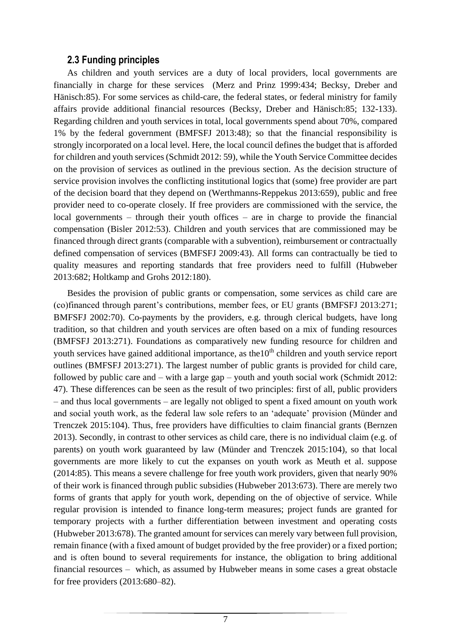#### **2.3 Funding principles**

<span id="page-9-0"></span>As children and youth services are a duty of local providers, local governments are financially in charge for these services (Merz and Prinz 1999:434; Becksy, Dreber and Hänisch:85). For some services as child-care, the federal states, or federal ministry for family affairs provide additional financial resources (Becksy, Dreber and Hänisch:85; 132-133). Regarding children and youth services in total, local governments spend about 70%, compared 1% by the federal government (BMFSFJ 2013:48); so that the financial responsibility is strongly incorporated on a local level. Here, the local council defines the budget that is afforded for children and youth services (Schmidt 2012: 59), while the Youth Service Committee decides on the provision of services as outlined in the previous section. As the decision structure of service provision involves the conflicting institutional logics that (some) free provider are part of the decision board that they depend on (Werthmanns-Reppekus 2013:659), public and free provider need to co-operate closely. If free providers are commissioned with the service, the local governments – through their youth offices – are in charge to provide the financial compensation (Bisler 2012:53). Children and youth services that are commissioned may be financed through direct grants (comparable with a subvention), reimbursement or contractually defined compensation of services (BMFSFJ 2009:43). All forms can contractually be tied to quality measures and reporting standards that free providers need to fulfill (Hubweber 2013:682; Holtkamp and Grohs 2012:180).

Besides the provision of public grants or compensation, some services as child care are (co)financed through parent's contributions, member fees, or EU grants (BMFSFJ 2013:271; BMFSFJ 2002:70). Co-payments by the providers, e.g. through clerical budgets, have long tradition, so that children and youth services are often based on a mix of funding resources (BMFSFJ 2013:271). Foundations as comparatively new funding resource for children and youth services have gained additional importance, as the 10<sup>th</sup> children and youth service report outlines (BMFSFJ 2013:271). The largest number of public grants is provided for child care, followed by public care and – with a large gap – youth and youth social work (Schmidt 2012: 47). These differences can be seen as the result of two principles: first of all, public providers – and thus local governments – are legally not obliged to spent a fixed amount on youth work and social youth work, as the federal law sole refers to an 'adequate' provision (Münder and Trenczek 2015:104). Thus, free providers have difficulties to claim financial grants (Bernzen 2013). Secondly, in contrast to other services as child care, there is no individual claim (e.g. of parents) on youth work guaranteed by law (Münder and Trenczek 2015:104), so that local governments are more likely to cut the expanses on youth work as Meuth et al. suppose (2014:85). This means a severe challenge for free youth work providers, given that nearly 90% of their work is financed through public subsidies (Hubweber 2013:673). There are merely two forms of grants that apply for youth work, depending on the of objective of service. While regular provision is intended to finance long-term measures; project funds are granted for temporary projects with a further differentiation between investment and operating costs (Hubweber 2013:678). The granted amount for services can merely vary between full provision, remain finance (with a fixed amount of budget provided by the free provider) or a fixed portion; and is often bound to several requirements for instance, the obligation to bring additional financial resources – which, as assumed by Hubweber means in some cases a great obstacle for free providers (2013:680–82).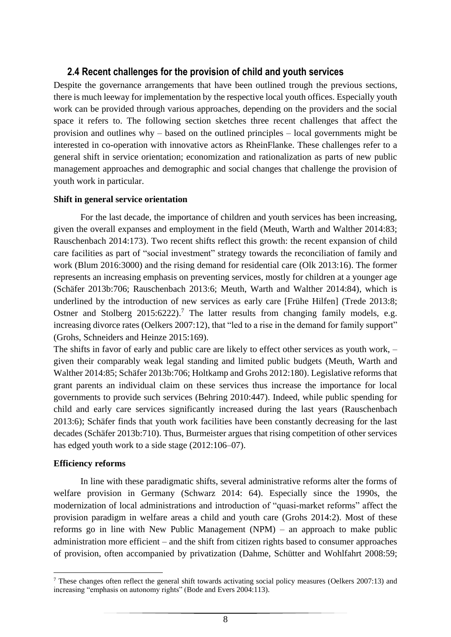## <span id="page-10-0"></span>**2.4 Recent challenges for the provision of child and youth services**

Despite the governance arrangements that have been outlined trough the previous sections, there is much leeway for implementation by the respective local youth offices. Especially youth work can be provided through various approaches, depending on the providers and the social space it refers to. The following section sketches three recent challenges that affect the provision and outlines why – based on the outlined principles – local governments might be interested in co-operation with innovative actors as RheinFlanke. These challenges refer to a general shift in service orientation; economization and rationalization as parts of new public management approaches and demographic and social changes that challenge the provision of youth work in particular.

#### **Shift in general service orientation**

For the last decade, the importance of children and youth services has been increasing, given the overall expanses and employment in the field (Meuth, Warth and Walther 2014:83; Rauschenbach 2014:173). Two recent shifts reflect this growth: the recent expansion of child care facilities as part of "social investment" strategy towards the reconciliation of family and work (Blum 2016:3000) and the rising demand for residential care (Olk 2013:16). The former represents an increasing emphasis on preventing services, mostly for children at a younger age (Schäfer 2013b:706; Rauschenbach 2013:6; Meuth, Warth and Walther 2014:84), which is underlined by the introduction of new services as early care [Frühe Hilfen] (Trede 2013:8; Ostner and Stolberg 2015:6222).<sup>7</sup> The latter results from changing family models, e.g. increasing divorce rates (Oelkers 2007:12), that "led to a rise in the demand for family support" (Grohs, Schneiders and Heinze 2015:169).

The shifts in favor of early and public care are likely to effect other services as youth work, – given their comparably weak legal standing and limited public budgets (Meuth, Warth and Walther 2014:85; Schäfer 2013b:706; Holtkamp and Grohs 2012:180). Legislative reforms that grant parents an individual claim on these services thus increase the importance for local governments to provide such services (Behring 2010:447). Indeed, while public spending for child and early care services significantly increased during the last years (Rauschenbach 2013:6); Schäfer finds that youth work facilities have been constantly decreasing for the last decades (Schäfer 2013b:710). Thus, Burmeister argues that rising competition of other services has edged youth work to a side stage (2012:106–07).

#### **Efficiency reforms**

1

In line with these paradigmatic shifts, several administrative reforms alter the forms of welfare provision in Germany (Schwarz 2014: 64). Especially since the 1990s, the modernization of local administrations and introduction of "quasi-market reforms" affect the provision paradigm in welfare areas a child and youth care (Grohs 2014:2). Most of these reforms go in line with New Public Management (NPM) – an approach to make public administration more efficient – and the shift from citizen rights based to consumer approaches of provision, often accompanied by privatization (Dahme, Schütter and Wohlfahrt 2008:59;

<sup>7</sup> These changes often reflect the general shift towards activating social policy measures (Oelkers 2007:13) and increasing "emphasis on autonomy rights" (Bode and Evers 2004:113).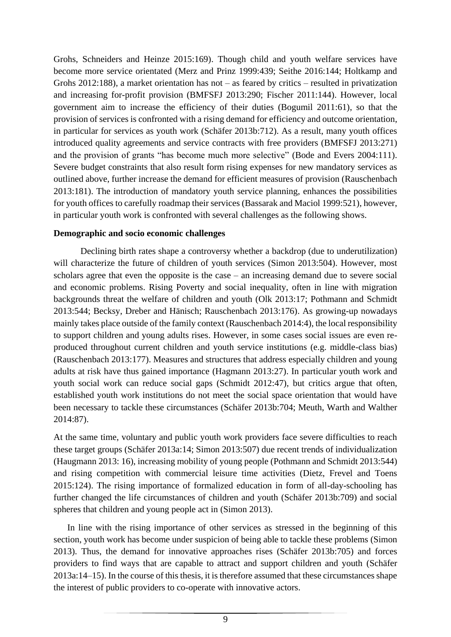Grohs, Schneiders and Heinze 2015:169). Though child and youth welfare services have become more service orientated (Merz and Prinz 1999:439; Seithe 2016:144; Holtkamp and Grohs 2012:188), a market orientation has not – as feared by critics – resulted in privatization and increasing for-profit provision (BMFSFJ 2013:290; Fischer 2011:144). However, local government aim to increase the efficiency of their duties (Bogumil 2011:61), so that the provision of services is confronted with a rising demand for efficiency and outcome orientation, in particular for services as youth work (Schäfer 2013b:712). As a result, many youth offices introduced quality agreements and service contracts with free providers (BMFSFJ 2013:271) and the provision of grants "has become much more selective" (Bode and Evers 2004:111). Severe budget constraints that also result form rising expenses for new mandatory services as outlined above, further increase the demand for efficient measures of provision (Rauschenbach 2013:181). The introduction of mandatory youth service planning, enhances the possibilities for youth offices to carefully roadmap their services (Bassarak and Maciol 1999:521), however, in particular youth work is confronted with several challenges as the following shows.

#### **Demographic and socio economic challenges**

Declining birth rates shape a controversy whether a backdrop (due to underutilization) will characterize the future of children of youth services (Simon 2013:504). However, most scholars agree that even the opposite is the case – an increasing demand due to severe social and economic problems. Rising Poverty and social inequality, often in line with migration backgrounds threat the welfare of children and youth (Olk 2013:17; Pothmann and Schmidt 2013:544; Becksy, Dreber and Hänisch; Rauschenbach 2013:176). As growing-up nowadays mainly takes place outside of the family context (Rauschenbach 2014:4), the local responsibility to support children and young adults rises. However, in some cases social issues are even reproduced throughout current children and youth service institutions (e.g. middle-class bias) (Rauschenbach 2013:177). Measures and structures that address especially children and young adults at risk have thus gained importance (Hagmann 2013:27). In particular youth work and youth social work can reduce social gaps (Schmidt 2012:47), but critics argue that often, established youth work institutions do not meet the social space orientation that would have been necessary to tackle these circumstances (Schäfer 2013b:704; Meuth, Warth and Walther 2014:87).

At the same time, voluntary and public youth work providers face severe difficulties to reach these target groups (Schäfer 2013a:14; Simon 2013:507) due recent trends of individualization (Haugmann 2013: 16), increasing mobility of young people (Pothmann and Schmidt 2013:544) and rising competition with commercial leisure time activities (Dietz, Frevel and Toens 2015:124). The rising importance of formalized education in form of all-day-schooling has further changed the life circumstances of children and youth (Schäfer 2013b:709) and social spheres that children and young people act in (Simon 2013).

In line with the rising importance of other services as stressed in the beginning of this section, youth work has become under suspicion of being able to tackle these problems (Simon 2013). Thus, the demand for innovative approaches rises (Schäfer 2013b:705) and forces providers to find ways that are capable to attract and support children and youth (Schäfer 2013a:14–15). In the course of this thesis, it is therefore assumed that these circumstances shape the interest of public providers to co-operate with innovative actors.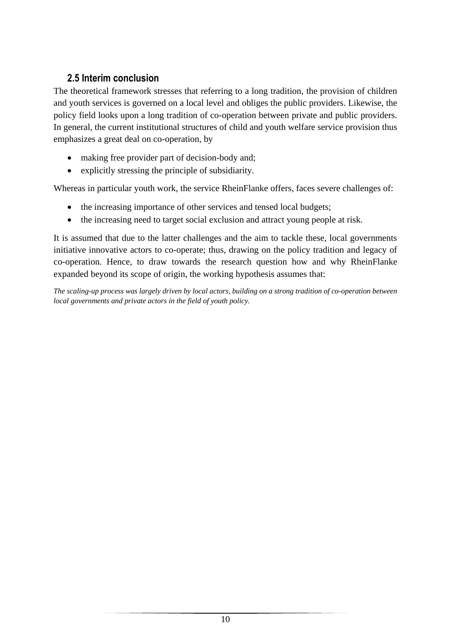## **2.5 Interim conclusion**

<span id="page-12-0"></span>The theoretical framework stresses that referring to a long tradition, the provision of children and youth services is governed on a local level and obliges the public providers. Likewise, the policy field looks upon a long tradition of co-operation between private and public providers. In general, the current institutional structures of child and youth welfare service provision thus emphasizes a great deal on co-operation, by

- making free provider part of decision-body and;
- explicitly stressing the principle of subsidiarity.

Whereas in particular youth work, the service RheinFlanke offers, faces severe challenges of:

- the increasing importance of other services and tensed local budgets;
- the increasing need to target social exclusion and attract young people at risk.

It is assumed that due to the latter challenges and the aim to tackle these, local governments initiative innovative actors to co-operate; thus, drawing on the policy tradition and legacy of co-operation. Hence, to draw towards the research question how and why RheinFlanke expanded beyond its scope of origin, the working hypothesis assumes that:

*The scaling-up process was largely driven by local actors, building on a strong tradition of co-operation between local governments and private actors in the field of youth policy.*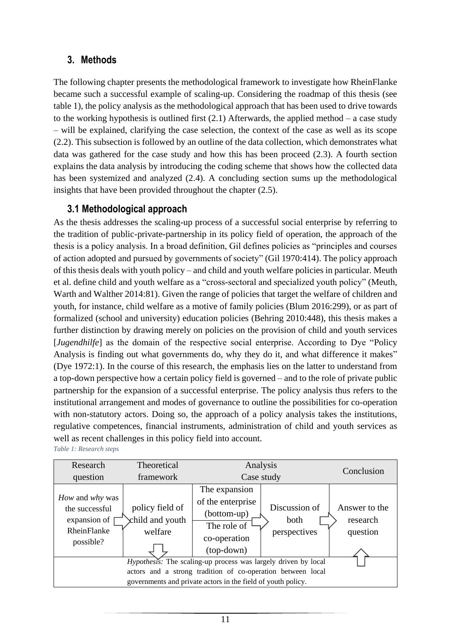## <span id="page-13-0"></span>**3. Methods**

The following chapter presents the methodological framework to investigate how RheinFlanke became such a successful example of scaling-up. Considering the roadmap of this thesis (see table 1), the policy analysis as the methodological approach that has been used to drive towards to the working hypothesis is outlined first  $(2.1)$  Afterwards, the applied method – a case study – will be explained, clarifying the case selection, the context of the case as well as its scope (2.2). This subsection is followed by an outline of the data collection, which demonstrates what data was gathered for the case study and how this has been proceed (2.3). A fourth section explains the data analysis by introducing the coding scheme that shows how the collected data has been systemized and analyzed (2.4). A concluding section sums up the methodological insights that have been provided throughout the chapter (2.5).

## **3.1 Methodological approach**

<span id="page-13-1"></span>As the thesis addresses the scaling-up process of a successful social enterprise by referring to the tradition of public-private-partnership in its policy field of operation, the approach of the thesis is a policy analysis. In a broad definition, Gil defines policies as "principles and courses of action adopted and pursued by governments of society" (Gil 1970:414). The policy approach of this thesis deals with youth policy – and child and youth welfare policies in particular. Meuth et al. define child and youth welfare as a "cross-sectoral and specialized youth policy" (Meuth, Warth and Walther 2014:81). Given the range of policies that target the welfare of children and youth, for instance, child welfare as a motive of family policies (Blum 2016:299), or as part of formalized (school and university) education policies (Behring 2010:448), this thesis makes a further distinction by drawing merely on policies on the provision of child and youth services [*Jugendhilfe*] as the domain of the respective social enterprise. According to Dye "Policy Analysis is finding out what governments do, why they do it, and what difference it makes" (Dye 1972:1). In the course of this research, the emphasis lies on the latter to understand from a top-down perspective how a certain policy field is governed – and to the role of private public partnership for the expansion of a successful enterprise. The policy analysis thus refers to the institutional arrangement and modes of governance to outline the possibilities for co-operation with non-statutory actors. Doing so, the approach of a policy analysis takes the institutions, regulative competences, financial instruments, administration of child and youth services as well as recent challenges in this policy field into account.

<span id="page-13-2"></span>*Table 1: Research steps*

| Research                                                                        | Theoretical                                                 | Analysis                                                                                         |                                       |                                       |  |  |  |  |  |
|---------------------------------------------------------------------------------|-------------------------------------------------------------|--------------------------------------------------------------------------------------------------|---------------------------------------|---------------------------------------|--|--|--|--|--|
| question                                                                        | framework                                                   | Case study                                                                                       | Conclusion                            |                                       |  |  |  |  |  |
| How and why was<br>the successful<br>expansion of  <br>RheinFlanke<br>possible? | policy field of<br>child and youth<br>welfare               | The expansion<br>of the enterprise<br>(bottom-up)<br>The role of<br>co-operation<br>$(top-down)$ | Discussion of<br>both<br>perspectives | Answer to the<br>research<br>question |  |  |  |  |  |
| Hypothesis: The scaling-up process was largely driven by local                  |                                                             |                                                                                                  |                                       |                                       |  |  |  |  |  |
|                                                                                 | actors and a strong tradition of co-operation between local |                                                                                                  |                                       |                                       |  |  |  |  |  |
|                                                                                 |                                                             | governments and private actors in the field of youth policy.                                     |                                       |                                       |  |  |  |  |  |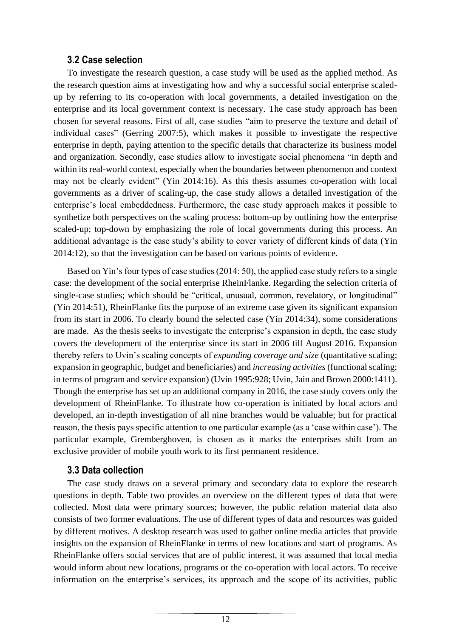#### **3.2 Case selection**

<span id="page-14-0"></span>To investigate the research question, a case study will be used as the applied method. As the research question aims at investigating how and why a successful social enterprise scaledup by referring to its co-operation with local governments, a detailed investigation on the enterprise and its local government context is necessary. The case study approach has been chosen for several reasons. First of all, case studies "aim to preserve the texture and detail of individual cases" (Gerring 2007:5), which makes it possible to investigate the respective enterprise in depth, paying attention to the specific details that characterize its business model and organization. Secondly, case studies allow to investigate social phenomena "in depth and within its real-world context, especially when the boundaries between phenomenon and context may not be clearly evident" (Yin 2014:16). As this thesis assumes co-operation with local governments as a driver of scaling-up, the case study allows a detailed investigation of the enterprise's local embeddedness. Furthermore, the case study approach makes it possible to synthetize both perspectives on the scaling process: bottom-up by outlining how the enterprise scaled-up; top-down by emphasizing the role of local governments during this process. An additional advantage is the case study's ability to cover variety of different kinds of data (Yin 2014:12), so that the investigation can be based on various points of evidence.

Based on Yin's four types of case studies (2014: 50), the applied case study refers to a single case: the development of the social enterprise RheinFlanke. Regarding the selection criteria of single-case studies; which should be "critical, unusual, common, revelatory, or longitudinal" (Yin 2014:51), RheinFlanke fits the purpose of an extreme case given its significant expansion from its start in 2006. To clearly bound the selected case (Yin 2014:34), some considerations are made. As the thesis seeks to investigate the enterprise's expansion in depth, the case study covers the development of the enterprise since its start in 2006 till August 2016. Expansion thereby refers to Uvin's scaling concepts of *expanding coverage and size* (quantitative scaling; expansion in geographic, budget and beneficiaries) and *increasing activities*(functional scaling; in terms of program and service expansion) (Uvin 1995:928; Uvin, Jain and Brown 2000:1411). Though the enterprise has set up an additional company in 2016, the case study covers only the development of RheinFlanke. To illustrate how co-operation is initiated by local actors and developed, an in-depth investigation of all nine branches would be valuable; but for practical reason, the thesis pays specific attention to one particular example (as a 'case within case'). The particular example, Gremberghoven, is chosen as it marks the enterprises shift from an exclusive provider of mobile youth work to its first permanent residence.

#### **3.3 Data collection**

<span id="page-14-1"></span>The case study draws on a several primary and secondary data to explore the research questions in depth. Table two provides an overview on the different types of data that were collected. Most data were primary sources; however, the public relation material data also consists of two former evaluations. The use of different types of data and resources was guided by different motives. A desktop research was used to gather online media articles that provide insights on the expansion of RheinFlanke in terms of new locations and start of programs. As RheinFlanke offers social services that are of public interest, it was assumed that local media would inform about new locations, programs or the co-operation with local actors. To receive information on the enterprise's services, its approach and the scope of its activities, public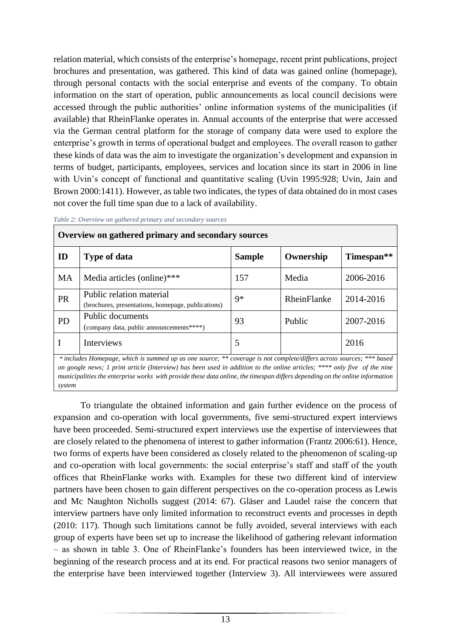relation material, which consists of the enterprise's homepage, recent print publications, project brochures and presentation, was gathered. This kind of data was gained online (homepage), through personal contacts with the social enterprise and events of the company. To obtain information on the start of operation, public announcements as local council decisions were accessed through the public authorities' online information systems of the municipalities (if available) that RheinFlanke operates in. Annual accounts of the enterprise that were accessed via the German central platform for the storage of company data were used to explore the enterprise's growth in terms of operational budget and employees. The overall reason to gather these kinds of data was the aim to investigate the organization's development and expansion in terms of budget, participants, employees, services and location since its start in 2006 in line with Uvin's concept of functional and quantitative scaling (Uvin 1995:928; Uvin, Jain and Brown 2000:1411). However, as table two indicates, the types of data obtained do in most cases not cover the full time span due to a lack of availability.

| Overview on gathered primary and secondary sources                                                                   |                                                                                |               |             |                        |  |  |  |  |  |
|----------------------------------------------------------------------------------------------------------------------|--------------------------------------------------------------------------------|---------------|-------------|------------------------|--|--|--|--|--|
| ID                                                                                                                   | <b>Type of data</b>                                                            | <b>Sample</b> | Ownership   | Timespan <sup>**</sup> |  |  |  |  |  |
| <b>MA</b>                                                                                                            | Media articles (online)***                                                     | 157           | Media       | 2006-2016              |  |  |  |  |  |
| <b>PR</b>                                                                                                            | Public relation material<br>(brochures, presentations, homepage, publications) | $9*$          | RheinFlanke | 2014-2016              |  |  |  |  |  |
| <b>PD</b>                                                                                                            | Public documents<br>(company data, public announcements****)                   | 93            | Public      | 2007-2016              |  |  |  |  |  |
| 1                                                                                                                    | <b>Interviews</b>                                                              | 5             |             | 2016                   |  |  |  |  |  |
| * includes Homepage, which is summed up as one source; ** coverage is not complete/differs across sources; *** based |                                                                                |               |             |                        |  |  |  |  |  |

<span id="page-15-0"></span>*Table 2: Overview on gathered primary and secondary sources*

*on google news; 1 print article (Interview) has been used in addition to the online articles; \*\*\*\* only five of the nine municipalities the enterprise works with provide these data online, the timespan differs depending on the online information system*

To triangulate the obtained information and gain further evidence on the process of expansion and co-operation with local governments, five semi-structured expert interviews have been proceeded. Semi-structured expert interviews use the expertise of interviewees that are closely related to the phenomena of interest to gather information (Frantz 2006:61). Hence, two forms of experts have been considered as closely related to the phenomenon of scaling-up and co-operation with local governments: the social enterprise's staff and staff of the youth offices that RheinFlanke works with. Examples for these two different kind of interview partners have been chosen to gain different perspectives on the co-operation process as Lewis and Mc Naughton Nicholls suggest (2014: 67). Gläser and Laudel raise the concern that interview partners have only limited information to reconstruct events and processes in depth (2010: 117). Though such limitations cannot be fully avoided, several interviews with each group of experts have been set up to increase the likelihood of gathering relevant information – as shown in table 3. One of RheinFlanke's founders has been interviewed twice, in the beginning of the research process and at its end. For practical reasons two senior managers of the enterprise have been interviewed together (Interview 3). All interviewees were assured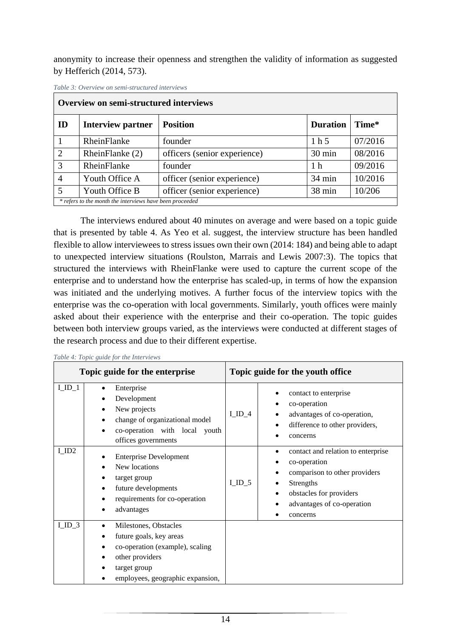anonymity to increase their openness and strengthen the validity of information as suggested by Hefferich (2014, 573).

| Overview on semi-structured interviews |                                                                   |                              |                  |         |  |  |  |  |
|----------------------------------------|-------------------------------------------------------------------|------------------------------|------------------|---------|--|--|--|--|
| ID                                     | <b>Interview partner</b>                                          | <b>Position</b>              | <b>Duration</b>  | Time*   |  |  |  |  |
|                                        | RheinFlanke                                                       | founder                      | 1 <sub>h</sub> 5 | 07/2016 |  |  |  |  |
| 2                                      | RheinFlanke (2)                                                   | officers (senior experience) | $30 \text{ min}$ | 08/2016 |  |  |  |  |
| 3                                      | RheinFlanke                                                       | founder                      | 1 <sub>h</sub>   | 09/2016 |  |  |  |  |
| $\overline{4}$                         | Youth Office A                                                    | officer (senior experience)  | 34 min           | 10/2016 |  |  |  |  |
| 5                                      | officer (senior experience)<br>38 min<br>10/206<br>Youth Office B |                              |                  |         |  |  |  |  |
|                                        | * refers to the month the interviews have been proceeded          |                              |                  |         |  |  |  |  |

<span id="page-16-0"></span>*Table 3: Overview on semi-structured interviews*

The interviews endured about 40 minutes on average and were based on a topic guide that is presented by table 4. As Yeo et al. suggest, the interview structure has been handled flexible to allow interviewees to stress issues own their own (2014: 184) and being able to adapt to unexpected interview situations (Roulston, Marrais and Lewis 2007:3). The topics that structured the interviews with RheinFlanke were used to capture the current scope of the enterprise and to understand how the enterprise has scaled-up, in terms of how the expansion was initiated and the underlying motives. A further focus of the interview topics with the enterprise was the co-operation with local governments. Similarly, youth offices were mainly asked about their experience with the enterprise and their co-operation. The topic guides between both interview groups varied, as the interviews were conducted at different stages of the research process and due to their different expertise.

|         | Lable 4: Lopic guide for the Interviews                                                                                                                                              |                                                                                                                                                                                                        |  |  |  |  |
|---------|--------------------------------------------------------------------------------------------------------------------------------------------------------------------------------------|--------------------------------------------------------------------------------------------------------------------------------------------------------------------------------------------------------|--|--|--|--|
|         | Topic guide for the enterprise                                                                                                                                                       | Topic guide for the youth office                                                                                                                                                                       |  |  |  |  |
| $LID_1$ | Enterprise<br>Development<br>New projects<br>change of organizational model<br>co-operation with local youth<br>offices governments                                                  | contact to enterprise<br>co-operation<br>$LID_4$<br>advantages of co-operation,<br>difference to other providers,<br>concerns                                                                          |  |  |  |  |
| I_ID2   | <b>Enterprise Development</b><br>New locations<br>target group<br>future developments<br>requirements for co-operation<br>advantages                                                 | contact and relation to enterprise<br>co-operation<br>comparison to other providers<br>$I$ <sub>1D</sub> $_5$<br><b>Strengths</b><br>obstacles for providers<br>advantages of co-operation<br>concerns |  |  |  |  |
| $LID_3$ | Milestones, Obstacles<br>$\bullet$<br>future goals, key areas<br>$\bullet$<br>co-operation (example), scaling<br>other providers<br>target group<br>employees, geographic expansion, |                                                                                                                                                                                                        |  |  |  |  |

<span id="page-16-1"></span>*Table 4: Topic guide for the Interviews*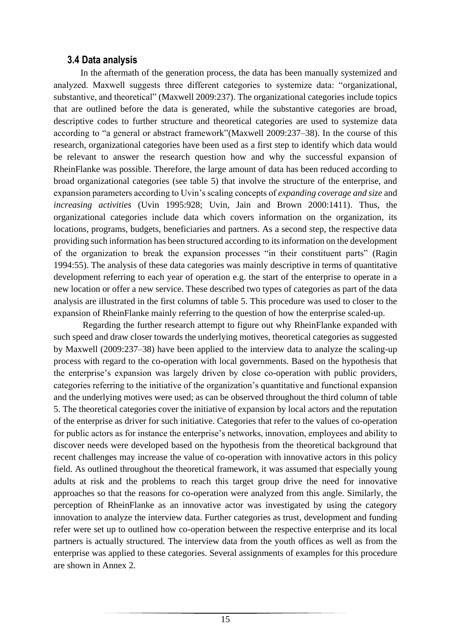#### **3.4 Data analysis**

<span id="page-17-0"></span>In the aftermath of the generation process, the data has been manually systemized and analyzed. Maxwell suggests three different categories to systemize data: "organizational, substantive, and theoretical" (Maxwell 2009:237). The organizational categories include topics that are outlined before the data is generated, while the substantive categories are broad, descriptive codes to further structure and theoretical categories are used to systemize data according to "a general or abstract framework"(Maxwell 2009:237–38). In the course of this research, organizational categories have been used as a first step to identify which data would be relevant to answer the research question how and why the successful expansion of RheinFlanke was possible. Therefore, the large amount of data has been reduced according to broad organizational categories (see table 5) that involve the structure of the enterprise, and expansion parameters according to Uvin's scaling concepts of *expanding coverage and size* and *increasing activities* (Uvin 1995:928; Uvin, Jain and Brown 2000:1411). Thus, the organizational categories include data which covers information on the organization, its locations, programs, budgets, beneficiaries and partners. As a second step, the respective data providing such information has been structured according to its information on the development of the organization to break the expansion processes "in their constituent parts" (Ragin 1994:55). The analysis of these data categories was mainly descriptive in terms of quantitative development referring to each year of operation e.g. the start of the enterprise to operate in a new location or offer a new service. These described two types of categories as part of the data analysis are illustrated in the first columns of table 5. This procedure was used to closer to the expansion of RheinFlanke mainly referring to the question of how the enterprise scaled-up.

Regarding the further research attempt to figure out why RheinFlanke expanded with such speed and draw closer towards the underlying motives, theoretical categories as suggested by Maxwell (2009:237–38) have been applied to the interview data to analyze the scaling-up process with regard to the co-operation with local governments. Based on the hypothesis that the enterprise's expansion was largely driven by close co-operation with public providers, categories referring to the initiative of the organization's quantitative and functional expansion and the underlying motives were used; as can be observed throughout the third column of table 5. The theoretical categories cover the initiative of expansion by local actors and the reputation of the enterprise as driver for such initiative. Categories that refer to the values of co-operation for public actors as for instance the enterprise's networks, innovation, employees and ability to discover needs were developed based on the hypothesis from the theoretical background that recent challenges may increase the value of co-operation with innovative actors in this policy field. As outlined throughout the theoretical framework, it was assumed that especially young adults at risk and the problems to reach this target group drive the need for innovative approaches so that the reasons for co-operation were analyzed from this angle. Similarly, the perception of RheinFlanke as an innovative actor was investigated by using the category innovation to analyze the interview data. Further categories as trust, development and funding refer were set up to outlined how co-operation between the respective enterprise and its local partners is actually structured. The interview data from the youth offices as well as from the enterprise was applied to these categories. Several assignments of examples for this procedure are shown in Annex 2.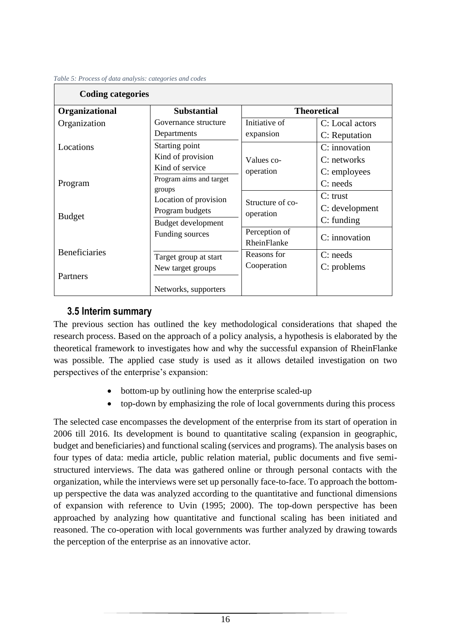| <b>Coding categories</b>                                                       |                                                                |                               |                                              |  |  |  |
|--------------------------------------------------------------------------------|----------------------------------------------------------------|-------------------------------|----------------------------------------------|--|--|--|
| Organizational                                                                 | <b>Substantial</b>                                             |                               | <b>Theoretical</b>                           |  |  |  |
| Organization                                                                   | Governance structure<br>Departments                            | Initiative of<br>expansion    | C: Local actors<br>C: Reputation             |  |  |  |
| Locations                                                                      | Starting point<br>Kind of provision<br>Kind of service         | Values co-<br>operation       | C: innovation<br>C: networks                 |  |  |  |
| Program                                                                        | Program aims and target<br>groups                              |                               | C: employees<br>$C:$ needs                   |  |  |  |
| <b>Budget</b>                                                                  | Location of provision<br>Program budgets<br>Budget development | Structure of co-<br>operation | $C:$ trust<br>C: development<br>$C:$ funding |  |  |  |
|                                                                                | Funding sources                                                | Perception of<br>RheinFlanke  | C: innovation                                |  |  |  |
| <b>Beneficiaries</b><br>Target group at start<br>New target groups<br>Partners |                                                                | Reasons for<br>Cooperation    | $C:$ needs<br>C: problems                    |  |  |  |
|                                                                                | Networks, supporters                                           |                               |                                              |  |  |  |

<span id="page-18-1"></span>*Table 5: Process of data analysis: categories and codes*

#### <span id="page-18-0"></span>**3.5 Interim summary**

The previous section has outlined the key methodological considerations that shaped the research process. Based on the approach of a policy analysis, a hypothesis is elaborated by the theoretical framework to investigates how and why the successful expansion of RheinFlanke was possible. The applied case study is used as it allows detailed investigation on two perspectives of the enterprise's expansion:

- bottom-up by outlining how the enterprise scaled-up
- top-down by emphasizing the role of local governments during this process

The selected case encompasses the development of the enterprise from its start of operation in 2006 till 2016. Its development is bound to quantitative scaling (expansion in geographic, budget and beneficiaries) and functional scaling (services and programs). The analysis bases on four types of data: media article, public relation material, public documents and five semistructured interviews. The data was gathered online or through personal contacts with the organization, while the interviews were set up personally face-to-face. To approach the bottomup perspective the data was analyzed according to the quantitative and functional dimensions of expansion with reference to Uvin (1995; 2000). The top-down perspective has been approached by analyzing how quantitative and functional scaling has been initiated and reasoned. The co-operation with local governments was further analyzed by drawing towards the perception of the enterprise as an innovative actor.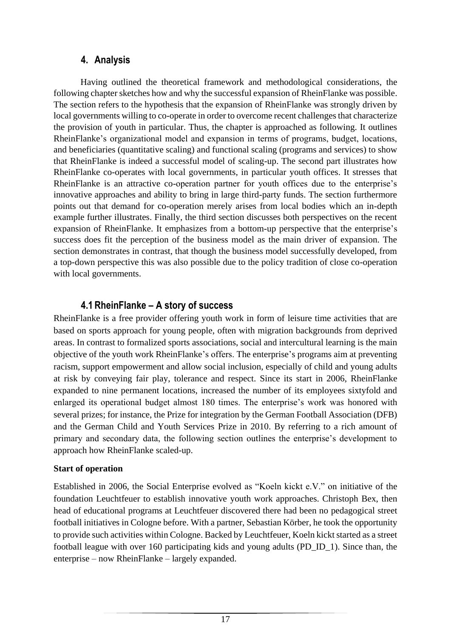## **4. Analysis**

<span id="page-19-0"></span>Having outlined the theoretical framework and methodological considerations, the following chapter sketches how and why the successful expansion of RheinFlanke was possible. The section refers to the hypothesis that the expansion of RheinFlanke was strongly driven by local governments willing to co-operate in order to overcome recent challenges that characterize the provision of youth in particular. Thus, the chapter is approached as following. It outlines RheinFlanke's organizational model and expansion in terms of programs, budget, locations, and beneficiaries (quantitative scaling) and functional scaling (programs and services) to show that RheinFlanke is indeed a successful model of scaling-up. The second part illustrates how RheinFlanke co-operates with local governments, in particular youth offices. It stresses that RheinFlanke is an attractive co-operation partner for youth offices due to the enterprise's innovative approaches and ability to bring in large third-party funds. The section furthermore points out that demand for co-operation merely arises from local bodies which an in-depth example further illustrates. Finally, the third section discusses both perspectives on the recent expansion of RheinFlanke. It emphasizes from a bottom-up perspective that the enterprise's success does fit the perception of the business model as the main driver of expansion. The section demonstrates in contrast, that though the business model successfully developed, from a top-down perspective this was also possible due to the policy tradition of close co-operation with local governments.

## **4.1 RheinFlanke – A story of success**

<span id="page-19-1"></span>RheinFlanke is a free provider offering youth work in form of leisure time activities that are based on sports approach for young people, often with migration backgrounds from deprived areas. In contrast to formalized sports associations, social and intercultural learning is the main objective of the youth work RheinFlanke's offers. The enterprise's programs aim at preventing racism, support empowerment and allow social inclusion, especially of child and young adults at risk by conveying fair play, tolerance and respect. Since its start in 2006, RheinFlanke expanded to nine permanent locations, increased the number of its employees sixtyfold and enlarged its operational budget almost 180 times. The enterprise's work was honored with several prizes; for instance, the Prize for integration by the German Football Association (DFB) and the German Child and Youth Services Prize in 2010. By referring to a rich amount of primary and secondary data, the following section outlines the enterprise's development to approach how RheinFlanke scaled-up.

#### **Start of operation**

Established in 2006, the Social Enterprise evolved as "Koeln kickt e.V." on initiative of the foundation Leuchtfeuer to establish innovative youth work approaches. Christoph Bex, then head of educational programs at Leuchtfeuer discovered there had been no pedagogical street football initiatives in Cologne before. With a partner, Sebastian Körber, he took the opportunity to provide such activities within Cologne. Backed by Leuchtfeuer, Koeln kickt started as a street football league with over 160 participating kids and young adults (PD\_ID\_1). Since than, the enterprise – now RheinFlanke – largely expanded.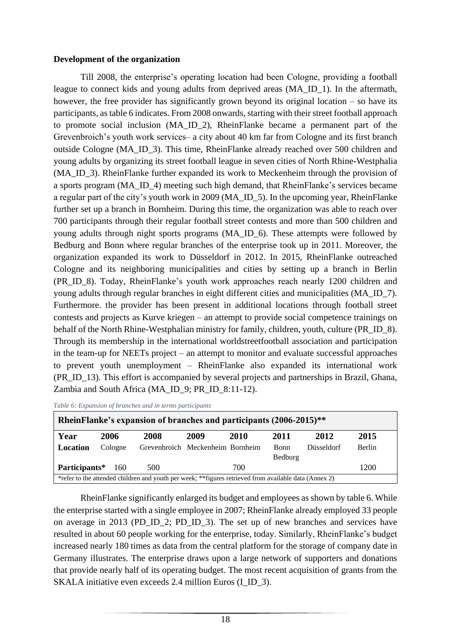#### **Development of the organization**

Till 2008, the enterprise's operating location had been Cologne, providing a football league to connect kids and young adults from deprived areas (MA\_ID\_1). In the aftermath, however, the free provider has significantly grown beyond its original location – so have its participants, as table 6 indicates. From 2008 onwards, starting with their street football approach to promote social inclusion (MA\_ID\_2), RheinFlanke became a permanent part of the Grevenbroich's youth work services– a city about 40 km far from Cologne and its first branch outside Cologne (MA\_ID\_3). This time, RheinFlanke already reached over 500 children and young adults by organizing its street football league in seven cities of North Rhine-Westphalia (MA\_ID\_3). RheinFlanke further expanded its work to Meckenheim through the provision of a sports program (MA\_ID\_4) meeting such high demand, that RheinFlanke's services became a regular part of the city's youth work in 2009 (MA\_ID\_5). In the upcoming year, RheinFlanke further set up a branch in Bornheim. During this time, the organization was able to reach over 700 participants through their regular football street contests and more than 500 children and young adults through night sports programs (MA\_ID\_6). These attempts were followed by Bedburg and Bonn where regular branches of the enterprise took up in 2011. Moreover, the organization expanded its work to Düsseldorf in 2012. In 2015, RheinFlanke outreached Cologne and its neighboring municipalities and cities by setting up a branch in Berlin (PR\_ID\_8). Today, RheinFlanke's youth work approaches reach nearly 1200 children and young adults through regular branches in eight different cities and municipalities (MA\_ID\_7). Furthermore. the provider has been present in additional locations through football street contests and projects as Kurve kriegen – an attempt to provide social competence trainings on behalf of the North Rhine-Westphalian ministry for family, children, youth, culture (PR ID 8). Through its membership in the international worldstreetfootball association and participation in the team-up for NEETs project – an attempt to monitor and evaluate successful approaches to prevent youth unemployment – RheinFlanke also expanded its international work (PR\_ID\_13). This effort is accompanied by several projects and partnerships in Brazil, Ghana, Zambia and South Africa (MA\_ID\_9; PR\_ID\_8:11-12).

| RheinFlanke's expansion of branches and participants (2006-2015)**                                    |         |                                  |      |      |                        |                   |        |  |  |
|-------------------------------------------------------------------------------------------------------|---------|----------------------------------|------|------|------------------------|-------------------|--------|--|--|
| Year                                                                                                  | 2006    | 2008                             | 2009 | 2010 | 2011                   | 2012              | 2015   |  |  |
| Location                                                                                              | Cologne | Grevenbroich Meckenheim Bornheim |      |      | <b>Bonn</b><br>Bedburg | <b>Düsseldorf</b> | Berlin |  |  |
| Participants*                                                                                         | 160     | 500                              |      | 700  |                        |                   | 1200   |  |  |
| *refer to the attended children and youth per week; **figures retrieved from available data (Annex 2) |         |                                  |      |      |                        |                   |        |  |  |

<span id="page-20-0"></span>*Table 6: Expansion of branches and in terms participants*

RheinFlanke significantly enlarged its budget and employees as shown by table 6. While the enterprise started with a single employee in 2007; RheinFlanke already employed 33 people on average in 2013 (PD\_ID\_2; PD\_ID\_3). The set up of new branches and services have resulted in about 60 people working for the enterprise, today. Similarly, RheinFlanke's budget increased nearly 180 times as data from the central platform for the storage of company date in Germany illustrates. The enterprise draws upon a large network of supporters and donations that provide nearly half of its operating budget. The most recent acquisition of grants from the SKALA initiative even exceeds 2.4 million Euros (I\_ID\_3).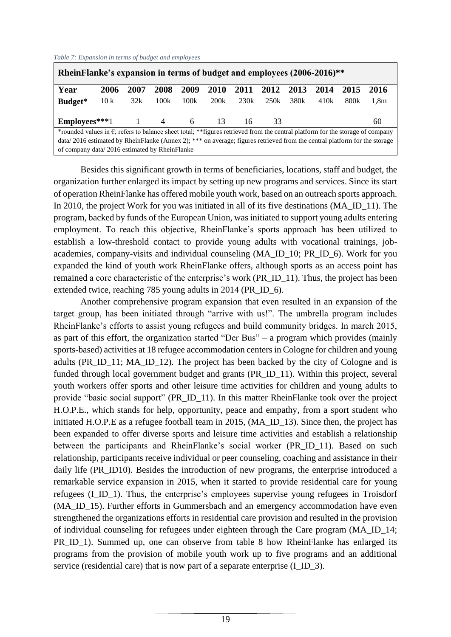<span id="page-21-0"></span>

| Table 7: Expansion in terms of budget and employees |  |  |  |  |
|-----------------------------------------------------|--|--|--|--|
|                                                     |  |  |  |  |

| RheinFlanke's expansion in terms of budget and employees (2006-2016)**                                                                  |      |      |      |      |             |      |      |      |      |      |                  |
|-----------------------------------------------------------------------------------------------------------------------------------------|------|------|------|------|-------------|------|------|------|------|------|------------------|
| Year                                                                                                                                    | 2006 | 2007 | 2008 | 2009 | <b>2010</b> | 2011 | 2012 | 2013 | 2014 | 2015 | 2016             |
| Budget*                                                                                                                                 | 10k  | 32k  | 100k | 100k | 200k        | 230k | 250k | 380k | 410k | 800k | 1.8 <sub>m</sub> |
|                                                                                                                                         |      |      |      |      |             |      |      |      |      |      |                  |
| Employees***1 $1$ 4 6                                                                                                                   |      |      |      |      | - 13        | 16   | 33   |      |      |      | 60               |
| *rounded values in $\epsilon$ ; refers to balance sheet total; **figures retrieved from the central platform for the storage of company |      |      |      |      |             |      |      |      |      |      |                  |
| data/2016 estimated by RheinFlanke (Annex 2); *** on average; figures retrieved from the central platform for the storage               |      |      |      |      |             |      |      |      |      |      |                  |
| of company data/2016 estimated by RheinFlanke                                                                                           |      |      |      |      |             |      |      |      |      |      |                  |

Besides this significant growth in terms of beneficiaries, locations, staff and budget, the organization further enlarged its impact by setting up new programs and services. Since its start of operation RheinFlanke has offered mobile youth work, based on an outreach sports approach. In 2010, the project Work for you was initiated in all of its five destinations (MA\_ID\_11). The program, backed by funds of the European Union, was initiated to support young adults entering employment. To reach this objective, RheinFlanke's sports approach has been utilized to establish a low-threshold contact to provide young adults with vocational trainings, jobacademies, company-visits and individual counseling (MA\_ID\_10; PR\_ID\_6). Work for you expanded the kind of youth work RheinFlanke offers, although sports as an access point has remained a core characteristic of the enterprise's work (PR\_ID\_11). Thus, the project has been extended twice, reaching 785 young adults in 2014 (PR\_ID\_6).

Another comprehensive program expansion that even resulted in an expansion of the target group, has been initiated through "arrive with us!". The umbrella program includes RheinFlanke's efforts to assist young refugees and build community bridges. In march 2015, as part of this effort, the organization started "Der Bus" – a program which provides (mainly sports-based) activities at 18 refugee accommodation centers in Cologne for children and young adults (PR\_ID\_11; MA\_ID\_12). The project has been backed by the city of Cologne and is funded through local government budget and grants (PR\_ID\_11). Within this project, several youth workers offer sports and other leisure time activities for children and young adults to provide "basic social support" (PR\_ID\_11). In this matter RheinFlanke took over the project H.O.P.E., which stands for help, opportunity, peace and empathy, from a sport student who initiated H.O.P.E as a refugee football team in 2015, (MA\_ID\_13). Since then, the project has been expanded to offer diverse sports and leisure time activities and establish a relationship between the participants and RheinFlanke's social worker (PR\_ID\_11). Based on such relationship, participants receive individual or peer counseling, coaching and assistance in their daily life (PR\_ID10). Besides the introduction of new programs, the enterprise introduced a remarkable service expansion in 2015, when it started to provide residential care for young refugees (I\_ID\_1). Thus, the enterprise's employees supervise young refugees in Troisdorf (MA\_ID\_15). Further efforts in Gummersbach and an emergency accommodation have even strengthened the organizations efforts in residential care provision and resulted in the provision of individual counseling for refugees under eighteen through the Care program (MA\_ID\_14; PR ID 1). Summed up, one can observe from table 8 how RheinFlanke has enlarged its programs from the provision of mobile youth work up to five programs and an additional service (residential care) that is now part of a separate enterprise (I\_ID\_3).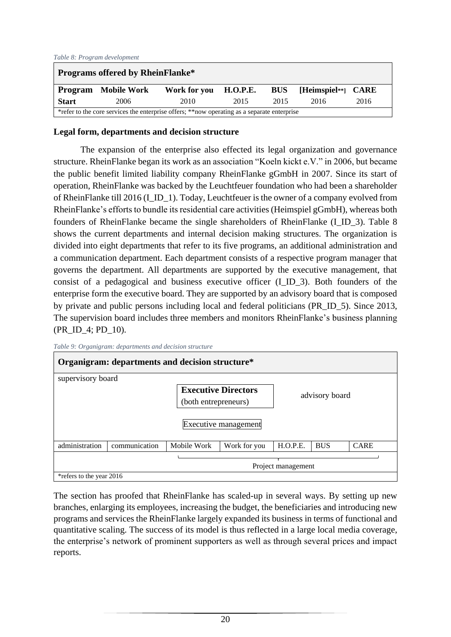#### <span id="page-22-0"></span>*Table 8: Program development*

| <b>Programs offered by RheinFlanke*</b>                                                     |                            |                       |      |            |                        |      |  |  |  |
|---------------------------------------------------------------------------------------------|----------------------------|-----------------------|------|------------|------------------------|------|--|--|--|
|                                                                                             | <b>Program</b> Mobile Work | Work for you H.O.P.E. |      | <b>BUS</b> | $[Heimspiel**]$ $CARE$ |      |  |  |  |
| <b>Start</b>                                                                                | 2006                       | 2010                  | 2015 | 2015       | 2016                   | 2016 |  |  |  |
| *refer to the core services the enterprise offers; **now operating as a separate enterprise |                            |                       |      |            |                        |      |  |  |  |

#### **Legal form, departments and decision structure**

The expansion of the enterprise also effected its legal organization and governance structure. RheinFlanke began its work as an association "Koeln kickt e.V." in 2006, but became the public benefit limited liability company RheinFlanke gGmbH in 2007. Since its start of operation, RheinFlanke was backed by the Leuchtfeuer foundation who had been a shareholder of RheinFlanke till 2016 (I\_ID\_1). Today, Leuchtfeuer is the owner of a company evolved from RheinFlanke's efforts to bundle its residential care activities (Heimspiel gGmbH), whereas both founders of RheinFlanke became the single shareholders of RheinFlanke (I\_ID\_3). Table 8 shows the current departments and internal decision making structures. The organization is divided into eight departments that refer to its five programs, an additional administration and a communication department. Each department consists of a respective program manager that governs the department. All departments are supported by the executive management, that consist of a pedagogical and business executive officer (I\_ID\_3). Both founders of the enterprise form the executive board. They are supported by an advisory board that is composed by private and public persons including local and federal politicians (PR\_ID\_5). Since 2013, The supervision board includes three members and monitors RheinFlanke's business planning (PR\_ID\_4; PD\_10).

<span id="page-22-1"></span>

| Organigram: departments and decision structure* |               |                                                                            |              |                |            |             |
|-------------------------------------------------|---------------|----------------------------------------------------------------------------|--------------|----------------|------------|-------------|
| supervisory board                               |               |                                                                            |              |                |            |             |
|                                                 |               | <b>Executive Directors</b><br>(both entrepreneurs)<br>Executive management |              | advisory board |            |             |
| administration                                  | communication | Mobile Work                                                                | Work for you | H.O.P.E.       | <b>BUS</b> | <b>CARE</b> |
| Project management                              |               |                                                                            |              |                |            |             |
| *refers to the year 2016                        |               |                                                                            |              |                |            |             |

The section has proofed that RheinFlanke has scaled-up in several ways. By setting up new branches, enlarging its employees, increasing the budget, the beneficiaries and introducing new programs and services the RheinFlanke largely expanded its business in terms of functional and quantitative scaling. The success of its model is thus reflected in a large local media coverage, the enterprise's network of prominent supporters as well as through several prices and impact reports.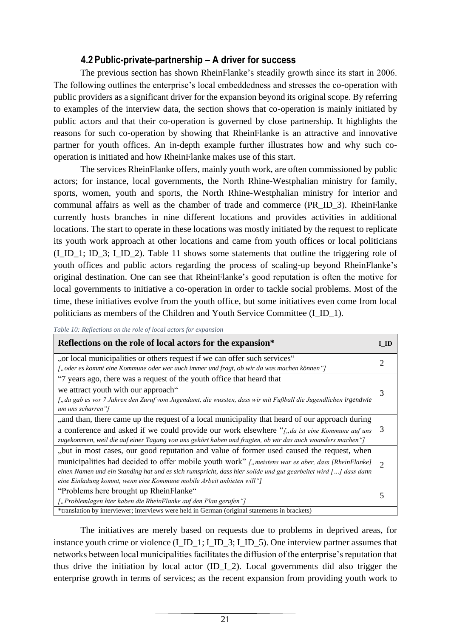#### **4.2 Public-private-partnership – A driver for success**

<span id="page-23-0"></span>The previous section has shown RheinFlanke's steadily growth since its start in 2006. The following outlines the enterprise's local embeddedness and stresses the co-operation with public providers as a significant driver for the expansion beyond its original scope. By referring to examples of the interview data, the section shows that co-operation is mainly initiated by public actors and that their co-operation is governed by close partnership. It highlights the reasons for such co-operation by showing that RheinFlanke is an attractive and innovative partner for youth offices. An in-depth example further illustrates how and why such cooperation is initiated and how RheinFlanke makes use of this start.

The services RheinFlanke offers, mainly youth work, are often commissioned by public actors; for instance, local governments, the North Rhine-Westphalian ministry for family, sports, women, youth and sports, the North Rhine-Westphalian ministry for interior and communal affairs as well as the chamber of trade and commerce (PR\_ID\_3). RheinFlanke currently hosts branches in nine different locations and provides activities in additional locations. The start to operate in these locations was mostly initiated by the request to replicate its youth work approach at other locations and came from youth offices or local politicians (I\_ID\_1; ID\_3; I\_ID\_2). Table 11 shows some statements that outline the triggering role of youth offices and public actors regarding the process of scaling-up beyond RheinFlanke's original destination. One can see that RheinFlanke's good reputation is often the motive for local governments to initiative a co-operation in order to tackle social problems. Most of the time, these initiatives evolve from the youth office, but some initiatives even come from local politicians as members of the Children and Youth Service Committee (I\_ID\_1).

<span id="page-23-1"></span>*Table 10: Reflections on the role of local actors for expansion* 

| Reflections on the role of local actors for the expansion*                                                                           |               |  |  |
|--------------------------------------------------------------------------------------------------------------------------------------|---------------|--|--|
| "or local municipalities or others request if we can offer such services"                                                            |               |  |  |
| [, oder es kommt eine Kommune oder wer auch immer und fragt, ob wir da was machen können"]                                           |               |  |  |
| "7 years ago, there was a request of the youth office that heard that                                                                |               |  |  |
| we attract youth with our approach"                                                                                                  |               |  |  |
| ["da gab es vor 7 Jahren den Zuruf vom Jugendamt, die wussten, dass wir mit Fußball die Jugendlichen irgendwie<br>um uns scharren "] |               |  |  |
| ,, and than, there came up the request of a local municipality that heard of our approach during                                     |               |  |  |
| a conference and asked if we could provide our work elsewhere "[, da ist eine Kommune auf uns                                        |               |  |  |
| zugekommen, weil die auf einer Tagung von uns gehört haben und fragten, ob wir das auch woanders machen "]                           |               |  |  |
| "but in most cases, our good reputation and value of former used caused the request, when                                            |               |  |  |
| municipalities had decided to offer mobile youth work" [,, meistens war es aber, dass [RheinFlanke]                                  |               |  |  |
| einen Namen und ein Standing hat und es sich rumspricht, dass hier solide und gut gearbeitet wird [] dass dann                       | $\mathcal{D}$ |  |  |
| eine Einladung kommt, wenn eine Kommune mobile Arbeit anbieten will"]                                                                |               |  |  |
| "Problems here brought up RheinFlanke"                                                                                               |               |  |  |
| ["Problemlagen hier haben die RheinFlanke auf den Plan gerufen"]                                                                     |               |  |  |
| *translation by interviewer; interviews were held in German (original statements in brackets)                                        |               |  |  |

The initiatives are merely based on requests due to problems in deprived areas, for instance youth crime or violence (I\_ID\_1; I\_ID\_3; I\_ID\_5). One interview partner assumes that networks between local municipalities facilitates the diffusion of the enterprise's reputation that thus drive the initiation by local actor  $(ID_1_2)$ . Local governments did also trigger the enterprise growth in terms of services; as the recent expansion from providing youth work to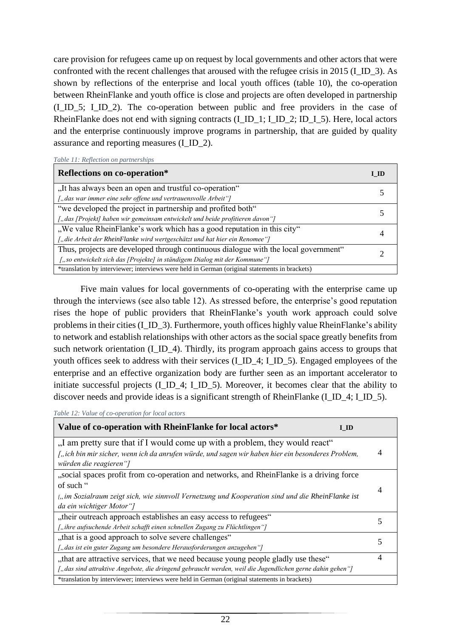care provision for refugees came up on request by local governments and other actors that were confronted with the recent challenges that aroused with the refugee crisis in 2015 (I\_ID\_3). As shown by reflections of the enterprise and local youth offices (table 10), the co-operation between RheinFlanke and youth office is close and projects are often developed in partnership (I\_ID\_5; I\_ID\_2). The co-operation between public and free providers in the case of RheinFlanke does not end with signing contracts (I\_ID\_1; I\_ID\_2; ID\_I\_5). Here, local actors and the enterprise continuously improve programs in partnership, that are guided by quality assurance and reporting measures (I\_ID\_2).

<span id="page-24-0"></span>

|  |  | Table 11: Reflection on partnerships |
|--|--|--------------------------------------|
|  |  |                                      |

| Reflections on co-operation*                                                                  | н п |  |
|-----------------------------------------------------------------------------------------------|-----|--|
| "It has always been an open and trustful co-operation"                                        |     |  |
| ["das war immer eine sehr offene und vertrauensvolle Arbeit"]                                 |     |  |
| "we developed the project in partnership and profited both"                                   |     |  |
| ["das [Projekt] haben wir gemeinsam entwickelt und beide profitieren davon"]                  |     |  |
| "We value RheinFlanke's work which has a good reputation in this city"                        |     |  |
| ["die Arbeit der RheinFlanke wird wertgeschätzt und hat hier ein Renomee"]                    |     |  |
| Thus, projects are developed through continuous dialogue with the local government"           |     |  |
| ["so entwickelt sich das [Projekte] in ständigem Dialog mit der Kommune"]                     |     |  |
| *translation by interviewer; interviews were held in German (original statements in brackets) |     |  |

Five main values for local governments of co-operating with the enterprise came up through the interviews (see also table 12). As stressed before, the enterprise's good reputation rises the hope of public providers that RheinFlanke's youth work approach could solve problems in their cities (I\_ID\_3). Furthermore, youth offices highly value RheinFlanke's ability to network and establish relationships with other actors as the social space greatly benefits from such network orientation (I\_ID\_4). Thirdly, its program approach gains access to groups that youth offices seek to address with their services (I\_ID\_4; I\_ID\_5). Engaged employees of the enterprise and an effective organization body are further seen as an important accelerator to initiate successful projects (I\_ID\_4; I\_ID\_5). Moreover, it becomes clear that the ability to discover needs and provide ideas is a significant strength of RheinFlanke (I\_ID\_4; I\_ID\_5).

<span id="page-24-1"></span>

| Table 12: Value of co-operation for local actors |
|--------------------------------------------------|
|--------------------------------------------------|

| Value of co-operation with RheinFlanke for local actors*<br>I ID                                         |   |
|----------------------------------------------------------------------------------------------------------|---|
| "I am pretty sure that if I would come up with a problem, they would react"                              |   |
| ["ich bin mir sicher, wenn ich da anrufen würde, und sagen wir haben hier ein besonderes Problem,        |   |
| würden die reagieren"]                                                                                   |   |
| "social spaces profit from co-operation and networks, and RheinFlanke is a driving force                 |   |
| of such "                                                                                                |   |
| ["im Sozialraum zeigt sich, wie sinnvoll Vernetzung und Kooperation sind und die RheinFlanke ist         |   |
| da ein wichtiger Motor"]                                                                                 |   |
| "their outreach approach establishes an easy access to refugees"                                         | 5 |
| ["ihre aufsuchende Arbeit schafft einen schnellen Zugang zu Flüchtlingen"]                               |   |
| "that is a good approach to solve severe challenges"                                                     | 5 |
| ["das ist ein guter Zugang um besondere Herausforderungen anzugehen"]                                    |   |
| "that are attractive services, that we need because young people gladly use these"                       | 4 |
| ["das sind attraktive Angebote, die dringend gebraucht werden, weil die Jugendlichen gerne dahin gehen"] |   |
| *translation by interviewer; interviews were held in German (original statements in brackets)            |   |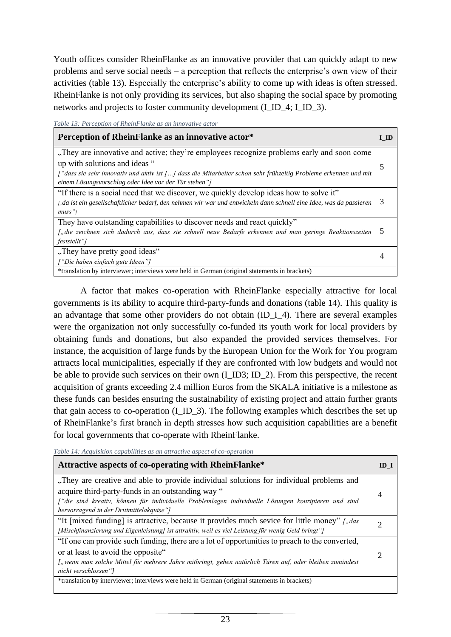Youth offices consider RheinFlanke as an innovative provider that can quickly adapt to new problems and serve social needs – a perception that reflects the enterprise's own view of their activities (table 13). Especially the enterprise's ability to come up with ideas is often stressed. RheinFlanke is not only providing its services, but also shaping the social space by promoting networks and projects to foster community development (I\_ID\_4; I\_ID\_3).

<span id="page-25-0"></span>*Table 13: Perception of RheinFlanke as an innovative actor*

| Perception of RheinFlanke as an innovative actor*                                                                  | -ID |
|--------------------------------------------------------------------------------------------------------------------|-----|
| "They are innovative and active; they're employees recognize problems early and soon come                          |     |
| up with solutions and ideas "                                                                                      |     |
| f "dass sie sehr innovativ und aktiv ist [] dass die Mitarbeiter schon sehr frühzeitig Probleme erkennen und mit   |     |
| einem Lösungsvorschlag oder Idee vor der Tür stehen"]                                                              |     |
| "If there is a social need that we discover, we quickly develop ideas how to solve it"                             |     |
| ["da ist ein gesellschaftlicher bedarf, den nehmen wir war und entwickeln dann schnell eine Idee, was da passieren | 3   |
| $muss$ "                                                                                                           |     |
| They have outstanding capabilities to discover needs and react quickly"                                            |     |
| ["die zeichnen sich dadurch aus, dass sie schnell neue Bedarfe erkennen und man geringe Reaktionszeiten            |     |
| feststellt"]                                                                                                       |     |
| "They have pretty good ideas"                                                                                      |     |
| ["Die haben einfach gute Ideen"]                                                                                   |     |
| *translation by interviewer; interviews were held in German (original statements in brackets)                      |     |

A factor that makes co-operation with RheinFlanke especially attractive for local governments is its ability to acquire third-party-funds and donations (table 14). This quality is an advantage that some other providers do not obtain (ID\_I\_4). There are several examples were the organization not only successfully co-funded its youth work for local providers by obtaining funds and donations, but also expanded the provided services themselves. For instance, the acquisition of large funds by the European Union for the Work for You program attracts local municipalities, especially if they are confronted with low budgets and would not be able to provide such services on their own (I\_ID3; ID\_2). From this perspective, the recent acquisition of grants exceeding 2.4 million Euros from the SKALA initiative is a milestone as these funds can besides ensuring the sustainability of existing project and attain further grants that gain access to co-operation (I\_ID\_3). The following examples which describes the set up of RheinFlanke's first branch in depth stresses how such acquisition capabilities are a benefit for local governments that co-operate with RheinFlanke.

<span id="page-25-1"></span>*Table 14: Acquisition capabilities as an attractive aspect of co-operation*

| Attractive aspects of co-operating with RheinFlanke*                                                    | ID 1 |  |
|---------------------------------------------------------------------------------------------------------|------|--|
| "They are creative and able to provide individual solutions for individual problems and                 |      |  |
| acquire third-party-funds in an outstanding way "                                                       |      |  |
| f die sind kreativ, können für individuelle Problemlagen individuelle Lösungen konzipieren und sind     |      |  |
| hervorragend in der Drittmittelakquise"]                                                                |      |  |
| "It [mixed funding] is attractive, because it provides much sevice for little money" [,das              |      |  |
| [Mischfinanzierung und Eigenleistung] ist attraktiv, weil es viel Leistung für wenig Geld bringt"]      |      |  |
| "If one can provide such funding, there are a lot of opportunities to preach to the converted,          |      |  |
| or at least to avoid the opposite"                                                                      |      |  |
| ["wenn man solche Mittel für mehrere Jahre mitbringt, gehen natürlich Türen auf, oder bleiben zumindest |      |  |
| nicht verschlossen"]                                                                                    |      |  |
| *translation by interviewer; interviews were held in German (original statements in brackets)           |      |  |
|                                                                                                         |      |  |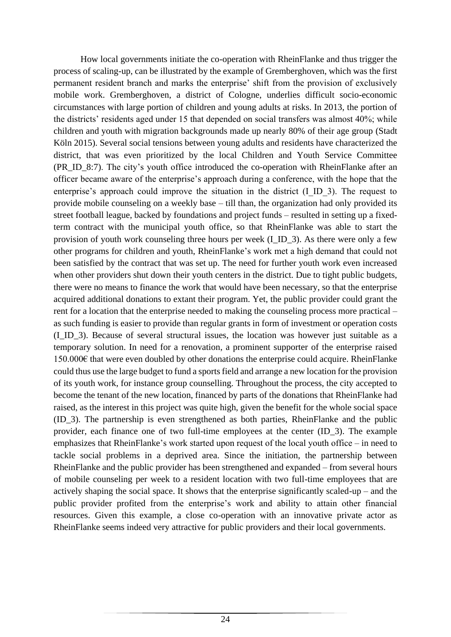How local governments initiate the co-operation with RheinFlanke and thus trigger the process of scaling-up, can be illustrated by the example of Gremberghoven, which was the first permanent resident branch and marks the enterprise' shift from the provision of exclusively mobile work. Gremberghoven, a district of Cologne, underlies difficult socio-economic circumstances with large portion of children and young adults at risks. In 2013, the portion of the districts' residents aged under 15 that depended on social transfers was almost 40%; while children and youth with migration backgrounds made up nearly 80% of their age group (Stadt Köln 2015). Several social tensions between young adults and residents have characterized the district, that was even prioritized by the local Children and Youth Service Committee (PR\_ID\_8:7). The city's youth office introduced the co-operation with RheinFlanke after an officer became aware of the enterprise's approach during a conference, with the hope that the enterprise's approach could improve the situation in the district (I\_ID\_3). The request to provide mobile counseling on a weekly base – till than, the organization had only provided its street football league, backed by foundations and project funds – resulted in setting up a fixedterm contract with the municipal youth office, so that RheinFlanke was able to start the provision of youth work counseling three hours per week (I\_ID\_3). As there were only a few other programs for children and youth, RheinFlanke's work met a high demand that could not been satisfied by the contract that was set up. The need for further youth work even increased when other providers shut down their youth centers in the district. Due to tight public budgets, there were no means to finance the work that would have been necessary, so that the enterprise acquired additional donations to extant their program. Yet, the public provider could grant the rent for a location that the enterprise needed to making the counseling process more practical – as such funding is easier to provide than regular grants in form of investment or operation costs (I\_ID\_3). Because of several structural issues, the location was however just suitable as a temporary solution. In need for a renovation, a prominent supporter of the enterprise raised 150.000€ that were even doubled by other donations the enterprise could acquire. RheinFlanke could thus use the large budget to fund a sports field and arrange a new location for the provision of its youth work, for instance group counselling. Throughout the process, the city accepted to become the tenant of the new location, financed by parts of the donations that RheinFlanke had raised, as the interest in this project was quite high, given the benefit for the whole social space (ID\_3). The partnership is even strengthened as both parties, RheinFlanke and the public provider, each finance one of two full-time employees at the center (ID\_3). The example emphasizes that RheinFlanke's work started upon request of the local youth office – in need to tackle social problems in a deprived area. Since the initiation, the partnership between RheinFlanke and the public provider has been strengthened and expanded – from several hours of mobile counseling per week to a resident location with two full-time employees that are actively shaping the social space. It shows that the enterprise significantly scaled-up – and the public provider profited from the enterprise's work and ability to attain other financial resources. Given this example, a close co-operation with an innovative private actor as RheinFlanke seems indeed very attractive for public providers and their local governments.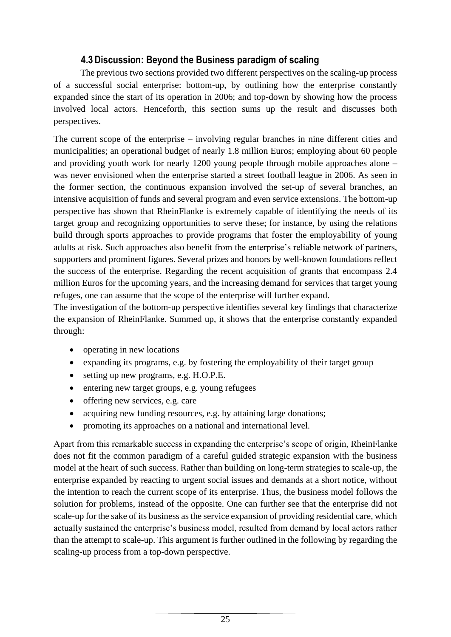## **4.3 Discussion: Beyond the Business paradigm of scaling**

<span id="page-27-0"></span>The previous two sections provided two different perspectives on the scaling-up process of a successful social enterprise: bottom-up, by outlining how the enterprise constantly expanded since the start of its operation in 2006; and top-down by showing how the process involved local actors. Henceforth, this section sums up the result and discusses both perspectives.

The current scope of the enterprise – involving regular branches in nine different cities and municipalities; an operational budget of nearly 1.8 million Euros; employing about 60 people and providing youth work for nearly 1200 young people through mobile approaches alone – was never envisioned when the enterprise started a street football league in 2006. As seen in the former section, the continuous expansion involved the set-up of several branches, an intensive acquisition of funds and several program and even service extensions. The bottom-up perspective has shown that RheinFlanke is extremely capable of identifying the needs of its target group and recognizing opportunities to serve these; for instance, by using the relations build through sports approaches to provide programs that foster the employability of young adults at risk. Such approaches also benefit from the enterprise's reliable network of partners, supporters and prominent figures. Several prizes and honors by well-known foundations reflect the success of the enterprise. Regarding the recent acquisition of grants that encompass 2.4 million Euros for the upcoming years, and the increasing demand for services that target young refuges, one can assume that the scope of the enterprise will further expand.

The investigation of the bottom-up perspective identifies several key findings that characterize the expansion of RheinFlanke. Summed up, it shows that the enterprise constantly expanded through:

- operating in new locations
- expanding its programs, e.g. by fostering the employability of their target group
- setting up new programs, e.g. H.O.P.E.
- entering new target groups, e.g. young refugees
- offering new services, e.g. care
- acquiring new funding resources, e.g. by attaining large donations;
- promoting its approaches on a national and international level.

Apart from this remarkable success in expanding the enterprise's scope of origin, RheinFlanke does not fit the common paradigm of a careful guided strategic expansion with the business model at the heart of such success. Rather than building on long-term strategies to scale-up, the enterprise expanded by reacting to urgent social issues and demands at a short notice, without the intention to reach the current scope of its enterprise. Thus, the business model follows the solution for problems, instead of the opposite. One can further see that the enterprise did not scale-up for the sake of its business as the service expansion of providing residential care, which actually sustained the enterprise's business model, resulted from demand by local actors rather than the attempt to scale-up. This argument is further outlined in the following by regarding the scaling-up process from a top-down perspective.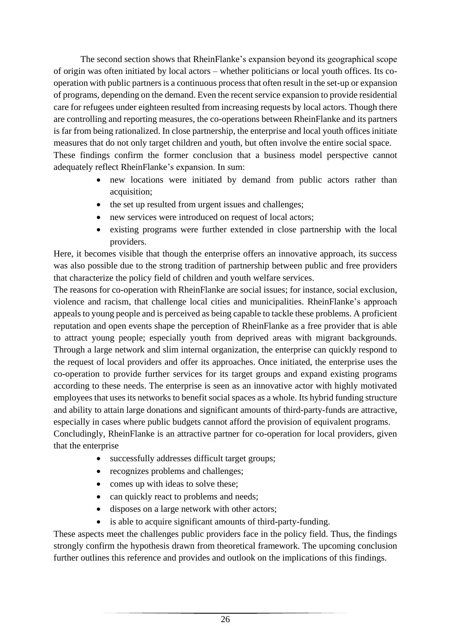The second section shows that RheinFlanke's expansion beyond its geographical scope of origin was often initiated by local actors – whether politicians or local youth offices. Its cooperation with public partners is a continuous process that often result in the set-up or expansion of programs, depending on the demand. Even the recent service expansion to provide residential care for refugees under eighteen resulted from increasing requests by local actors. Though there are controlling and reporting measures, the co-operations between RheinFlanke and its partners is far from being rationalized. In close partnership, the enterprise and local youth offices initiate measures that do not only target children and youth, but often involve the entire social space. These findings confirm the former conclusion that a business model perspective cannot adequately reflect RheinFlanke's expansion. In sum:

- new locations were initiated by demand from public actors rather than acquisition;
- the set up resulted from urgent issues and challenges;
- new services were introduced on request of local actors;
- existing programs were further extended in close partnership with the local providers.

Here, it becomes visible that though the enterprise offers an innovative approach, its success was also possible due to the strong tradition of partnership between public and free providers that characterize the policy field of children and youth welfare services.

The reasons for co-operation with RheinFlanke are social issues; for instance, social exclusion, violence and racism, that challenge local cities and municipalities. RheinFlanke's approach appeals to young people and is perceived as being capable to tackle these problems. A proficient reputation and open events shape the perception of RheinFlanke as a free provider that is able to attract young people; especially youth from deprived areas with migrant backgrounds. Through a large network and slim internal organization, the enterprise can quickly respond to the request of local providers and offer its approaches. Once initiated, the enterprise uses the co-operation to provide further services for its target groups and expand existing programs according to these needs. The enterprise is seen as an innovative actor with highly motivated employees that uses its networks to benefit social spaces as a whole. Its hybrid funding structure and ability to attain large donations and significant amounts of third-party-funds are attractive, especially in cases where public budgets cannot afford the provision of equivalent programs.

Concludingly, RheinFlanke is an attractive partner for co-operation for local providers, given that the enterprise

- successfully addresses difficult target groups;
- recognizes problems and challenges;
- comes up with ideas to solve these;
- can quickly react to problems and needs;
- disposes on a large network with other actors;
- is able to acquire significant amounts of third-party-funding.

These aspects meet the challenges public providers face in the policy field. Thus, the findings strongly confirm the hypothesis drawn from theoretical framework. The upcoming conclusion further outlines this reference and provides and outlook on the implications of this findings.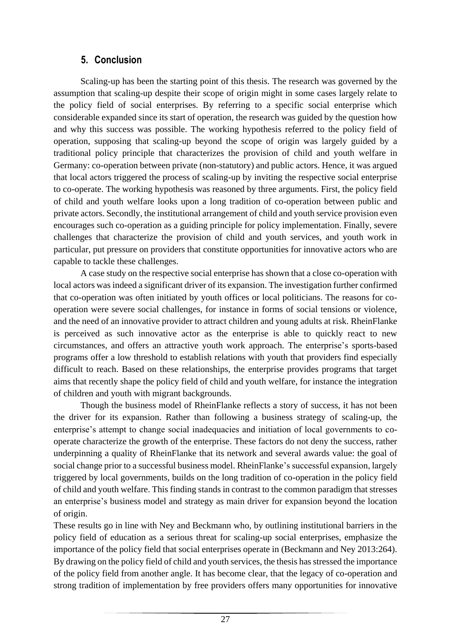## **5. Conclusion**

<span id="page-29-0"></span>Scaling-up has been the starting point of this thesis. The research was governed by the assumption that scaling-up despite their scope of origin might in some cases largely relate to the policy field of social enterprises. By referring to a specific social enterprise which considerable expanded since its start of operation, the research was guided by the question how and why this success was possible. The working hypothesis referred to the policy field of operation, supposing that scaling-up beyond the scope of origin was largely guided by a traditional policy principle that characterizes the provision of child and youth welfare in Germany: co-operation between private (non-statutory) and public actors. Hence, it was argued that local actors triggered the process of scaling-up by inviting the respective social enterprise to co-operate. The working hypothesis was reasoned by three arguments. First, the policy field of child and youth welfare looks upon a long tradition of co-operation between public and private actors. Secondly, the institutional arrangement of child and youth service provision even encourages such co-operation as a guiding principle for policy implementation. Finally, severe challenges that characterize the provision of child and youth services, and youth work in particular, put pressure on providers that constitute opportunities for innovative actors who are capable to tackle these challenges.

A case study on the respective social enterprise has shown that a close co-operation with local actors was indeed a significant driver of its expansion. The investigation further confirmed that co-operation was often initiated by youth offices or local politicians. The reasons for cooperation were severe social challenges, for instance in forms of social tensions or violence, and the need of an innovative provider to attract children and young adults at risk. RheinFlanke is perceived as such innovative actor as the enterprise is able to quickly react to new circumstances, and offers an attractive youth work approach. The enterprise's sports-based programs offer a low threshold to establish relations with youth that providers find especially difficult to reach. Based on these relationships, the enterprise provides programs that target aims that recently shape the policy field of child and youth welfare, for instance the integration of children and youth with migrant backgrounds.

Though the business model of RheinFlanke reflects a story of success, it has not been the driver for its expansion. Rather than following a business strategy of scaling-up, the enterprise's attempt to change social inadequacies and initiation of local governments to cooperate characterize the growth of the enterprise. These factors do not deny the success, rather underpinning a quality of RheinFlanke that its network and several awards value: the goal of social change prior to a successful business model. RheinFlanke's successful expansion, largely triggered by local governments, builds on the long tradition of co-operation in the policy field of child and youth welfare. This finding stands in contrast to the common paradigm that stresses an enterprise's business model and strategy as main driver for expansion beyond the location of origin.

These results go in line with Ney and Beckmann who, by outlining institutional barriers in the policy field of education as a serious threat for scaling-up social enterprises, emphasize the importance of the policy field that social enterprises operate in (Beckmann and Ney 2013:264). By drawing on the policy field of child and youth services, the thesis has stressed the importance of the policy field from another angle. It has become clear, that the legacy of co-operation and strong tradition of implementation by free providers offers many opportunities for innovative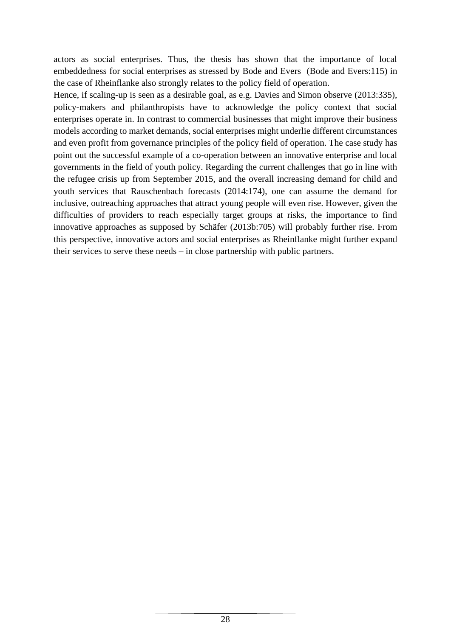actors as social enterprises. Thus, the thesis has shown that the importance of local embeddedness for social enterprises as stressed by Bode and Evers (Bode and Evers:115) in the case of Rheinflanke also strongly relates to the policy field of operation.

Hence, if scaling-up is seen as a desirable goal, as e.g. Davies and Simon observe (2013:335), policy-makers and philanthropists have to acknowledge the policy context that social enterprises operate in. In contrast to commercial businesses that might improve their business models according to market demands, social enterprises might underlie different circumstances and even profit from governance principles of the policy field of operation. The case study has point out the successful example of a co-operation between an innovative enterprise and local governments in the field of youth policy. Regarding the current challenges that go in line with the refugee crisis up from September 2015, and the overall increasing demand for child and youth services that Rauschenbach forecasts (2014:174), one can assume the demand for inclusive, outreaching approaches that attract young people will even rise. However, given the difficulties of providers to reach especially target groups at risks, the importance to find innovative approaches as supposed by Schäfer (2013b:705) will probably further rise. From this perspective, innovative actors and social enterprises as Rheinflanke might further expand their services to serve these needs – in close partnership with public partners.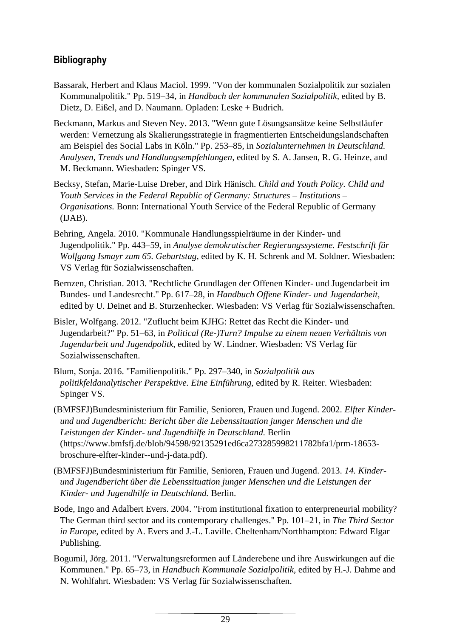## <span id="page-31-0"></span>**Bibliography**

- Bassarak, Herbert and Klaus Maciol. 1999. "Von der kommunalen Sozialpolitik zur sozialen Kommunalpolitik." Pp. 519–34, in *Handbuch der kommunalen Sozialpolitik,* edited by B. Dietz, D. Eißel, and D. Naumann. Opladen: Leske + Budrich.
- Beckmann, Markus and Steven Ney. 2013. "Wenn gute Lösungsansätze keine Selbstläufer werden: Vernetzung als Skalierungsstrategie in fragmentierten Entscheidungslandschaften am Beispiel des Social Labs in Köln." Pp. 253–85, in *Sozialunternehmen in Deutschland. Analysen, Trends und Handlungsempfehlungen,* edited by S. A. Jansen, R. G. Heinze, and M. Beckmann. Wiesbaden: Spinger VS.
- Becksy, Stefan, Marie-Luise Dreber, and Dirk Hänisch. *Child and Youth Policy. Child and Youth Services in the Federal Republic of Germany: Structures – Institutions – Organisations.* Bonn: International Youth Service of the Federal Republic of Germany (IJAB).
- Behring, Angela. 2010. "Kommunale Handlungsspielräume in der Kinder- und Jugendpolitik." Pp. 443–59, in *Analyse demokratischer Regierungssysteme. Festschrift für Wolfgang Ismayr zum 65. Geburtstag,* edited by K. H. Schrenk and M. Soldner. Wiesbaden: VS Verlag für Sozialwissenschaften.
- Bernzen, Christian. 2013. "Rechtliche Grundlagen der Offenen Kinder- und Jugendarbeit im Bundes- und Landesrecht." Pp. 617–28, in *Handbuch Offene Kinder- und Jugendarbeit,*  edited by U. Deinet and B. Sturzenhecker. Wiesbaden: VS Verlag für Sozialwissenschaften.
- Bisler, Wolfgang. 2012. "Zuflucht beim KJHG: Rettet das Recht die Kinder- und Jugendarbeit?" Pp. 51–63, in *Political (Re-)Turn? Impulse zu einem neuen Verhältnis von Jugendarbeit und Jugendpolitk,* edited by W. Lindner. Wiesbaden: VS Verlag für Sozialwissenschaften.
- Blum, Sonja. 2016. "Familienpolitik." Pp. 297–340, in *Sozialpolitik aus politikfeldanalytischer Perspektive. Eine Einführung,* edited by R. Reiter. Wiesbaden: Spinger VS.
- (BMFSFJ)Bundesministerium für Familie, Senioren, Frauen und Jugend. 2002. *Elfter Kinderund und Jugendbericht: Bericht über die Lebenssituation junger Menschen und die Leistungen der Kinder- und Jugendhilfe in Deutschland.* Berlin (https://www.bmfsfj.de/blob/94598/92135291ed6ca273285998211782bfa1/prm-18653 broschure-elfter-kinder--und-j-data.pdf).
- (BMFSFJ)Bundesministerium für Familie, Senioren, Frauen und Jugend. 2013. *14. Kinderund Jugendbericht über die Lebenssituation junger Menschen und die Leistungen der Kinder- und Jugendhilfe in Deutschland.* Berlin.
- Bode, Ingo and Adalbert Evers. 2004. "From institutional fixation to enterpreneurial mobility? The German third sector and its contemporary challenges." Pp. 101–21, in *The Third Sector in Europe,* edited by A. Evers and J.-L. Laville. Cheltenham/Northhampton: Edward Elgar Publishing.
- Bogumil, Jörg. 2011. "Verwaltungsreformen auf Länderebene und ihre Auswirkungen auf die Kommunen." Pp. 65–73, in *Handbuch Kommunale Sozialpolitik,* edited by H.-J. Dahme and N. Wohlfahrt. Wiesbaden: VS Verlag für Sozialwissenschaften.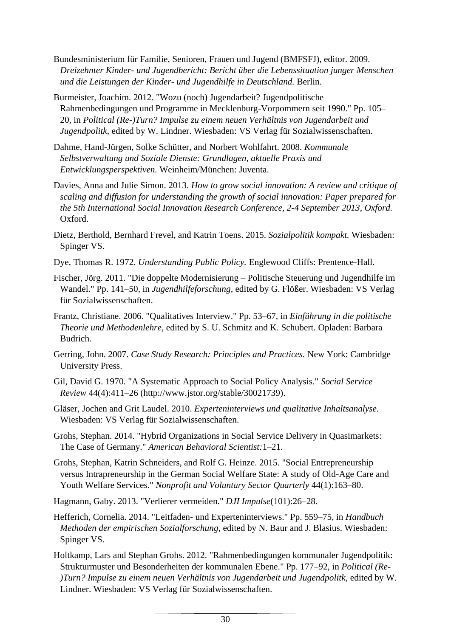- Bundesministerium für Familie, Senioren, Frauen und Jugend (BMFSFJ), editor. 2009. *Dreizehnter Kinder- und Jugendbericht: Bericht über die Lebenssituation junger Menschen und die Leistungen der Kinder- und Jugendhilfe in Deutschland.* Berlin.
- Burmeister, Joachim. 2012. "Wozu (noch) Jugendarbeit? Jugendpolitische Rahmenbedingungen und Programme in Mecklenburg-Vorpommern seit 1990." Pp. 105– 20, in *Political (Re-)Turn? Impulse zu einem neuen Verhältnis von Jugendarbeit und Jugendpolitk,* edited by W. Lindner. Wiesbaden: VS Verlag für Sozialwissenschaften.
- Dahme, Hand-Jürgen, Solke Schütter, and Norbert Wohlfahrt. 2008. *Kommunale Selbstverwaltung und Soziale Dienste: Grundlagen, aktuelle Praxis und Entwicklungsperspektiven.* Weinheim/München: Juventa.
- Davies, Anna and Julie Simon. 2013. *How to grow social innovation: A review and critique of scaling and diffusion for understanding the growth of social innovation: Paper prepared for the 5th International Social Innovation Research Conference, 2-4 September 2013, Oxford.*  Oxford.
- Dietz, Berthold, Bernhard Frevel, and Katrin Toens. 2015. *Sozialpolitik kompakt.* Wiesbaden: Spinger VS.
- Dye, Thomas R. 1972. *Understanding Public Policy.* Englewood Cliffs: Prentence-Hall.
- Fischer, Jörg. 2011. "Die doppelte Modernisierung Politische Steuerung und Jugendhilfe im Wandel." Pp. 141–50, in *Jugendhilfeforschung,* edited by G. Flößer. Wiesbaden: VS Verlag für Sozialwissenschaften.
- Frantz, Christiane. 2006. "Qualitatives Interview." Pp. 53–67, in *Einführung in die politische Theorie und Methodenlehre,* edited by S. U. Schmitz and K. Schubert. Opladen: Barbara Budrich.
- Gerring, John. 2007. *Case Study Research: Principles and Practices.* New York: Cambridge University Press.
- Gil, David G. 1970. "A Systematic Approach to Social Policy Analysis." *Social Service Review* 44(4):411–26 (http://www.jstor.org/stable/30021739).
- Gläser, Jochen and Grit Laudel. 2010. *Experteninterviews und qualitative Inhaltsanalyse.*  Wiesbaden: VS Verlag für Sozialwissenschaften.
- Grohs, Stephan. 2014. "Hybrid Organizations in Social Service Delivery in Quasimarkets: The Case of Germany." *American Behavioral Scientist:*1–21.
- Grohs, Stephan, Katrin Schneiders, and Rolf G. Heinze. 2015. "Social Entrepreneurship versus Intrapreneurship in the German Social Welfare State: A study of Old-Age Care and Youth Welfare Services." *Nonprofit and Voluntary Sector Quarterly* 44(1):163–80.
- Hagmann, Gaby. 2013. "Verlierer vermeiden." *DJI Impulse*(101):26–28.
- Hefferich, Cornelia. 2014. "Leitfaden- und Experteninterviews." Pp. 559–75, in *Handbuch Methoden der empirischen Sozialforschung,* edited by N. Baur and J. Blasius. Wiesbaden: Spinger VS.
- Holtkamp, Lars and Stephan Grohs. 2012. "Rahmenbedingungen kommunaler Jugendpolitik: Strukturmuster und Besonderheiten der kommunalen Ebene." Pp. 177–92, in *Political (Re- )Turn? Impulse zu einem neuen Verhältnis von Jugendarbeit und Jugendpolitk,* edited by W. Lindner. Wiesbaden: VS Verlag für Sozialwissenschaften.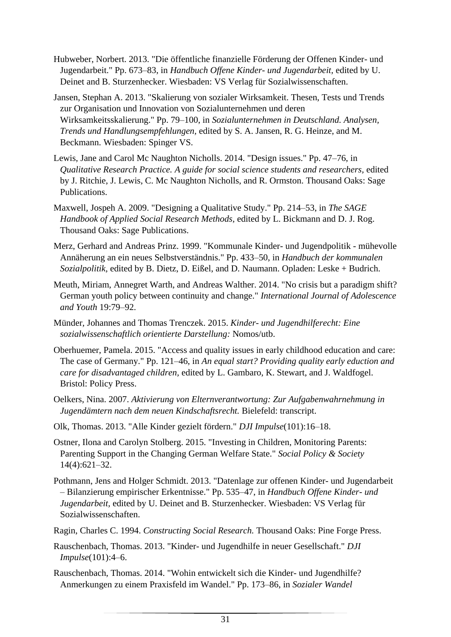- Hubweber, Norbert. 2013. "Die öffentliche finanzielle Förderung der Offenen Kinder- und Jugendarbeit." Pp. 673–83, in *Handbuch Offene Kinder- und Jugendarbeit,* edited by U. Deinet and B. Sturzenhecker. Wiesbaden: VS Verlag für Sozialwissenschaften.
- Jansen, Stephan A. 2013. "Skalierung von sozialer Wirksamkeit. Thesen, Tests und Trends zur Organisation und Innovation von Sozialunternehmen und deren Wirksamkeitsskalierung." Pp. 79–100, in *Sozialunternehmen in Deutschland. Analysen, Trends und Handlungsempfehlungen,* edited by S. A. Jansen, R. G. Heinze, and M. Beckmann. Wiesbaden: Spinger VS.
- Lewis, Jane and Carol Mc Naughton Nicholls. 2014. "Design issues." Pp. 47–76, in *Qualitative Research Practice. A guide for social science students and researchers,* edited by J. Ritchie, J. Lewis, C. Mc Naughton Nicholls, and R. Ormston. Thousand Oaks: Sage Publications.
- Maxwell, Jospeh A. 2009. "Designing a Qualitative Study." Pp. 214–53, in *The SAGE Handbook of Applied Social Research Methods,* edited by L. Bickmann and D. J. Rog. Thousand Oaks: Sage Publications.
- Merz, Gerhard and Andreas Prinz. 1999. "Kommunale Kinder- und Jugendpolitik mühevolle Annäherung an ein neues Selbstverständnis." Pp. 433–50, in *Handbuch der kommunalen Sozialpolitik,* edited by B. Dietz, D. Eißel, and D. Naumann. Opladen: Leske + Budrich.
- Meuth, Miriam, Annegret Warth, and Andreas Walther. 2014. "No crisis but a paradigm shift? German youth policy between continuity and change." *International Journal of Adolescence and Youth* 19:79–92.
- Münder, Johannes and Thomas Trenczek. 2015. *Kinder- und Jugendhilferecht: Eine sozialwissenschaftlich orientierte Darstellung:* Nomos/utb.
- Oberhuemer, Pamela. 2015. "Access and quality issues in early childhood education and care: The case of Germany." Pp. 121–46, in *An equal start? Providing quality early eduction and care for disadvantaged children,* edited by L. Gambaro, K. Stewart, and J. Waldfogel. Bristol: Policy Press.
- Oelkers, Nina. 2007. *Aktivierung von Elternverantwortung: Zur Aufgabenwahrnehmung in Jugendämtern nach dem neuen Kindschaftsrecht.* Bielefeld: transcript.
- Olk, Thomas. 2013. "Alle Kinder gezielt fördern." *DJI Impulse*(101):16–18.
- Ostner, Ilona and Carolyn Stolberg. 2015. "Investing in Children, Monitoring Parents: Parenting Support in the Changing German Welfare State." *Social Policy & Society* 14(4):621–32.
- Pothmann, Jens and Holger Schmidt. 2013. "Datenlage zur offenen Kinder- und Jugendarbeit – Bilanzierung empirischer Erkentnisse." Pp. 535–47, in *Handbuch Offene Kinder- und Jugendarbeit,* edited by U. Deinet and B. Sturzenhecker. Wiesbaden: VS Verlag für Sozialwissenschaften.
- Ragin, Charles C. 1994. *Constructing Social Research.* Thousand Oaks: Pine Forge Press.
- Rauschenbach, Thomas. 2013. "Kinder- und Jugendhilfe in neuer Gesellschaft." *DJI Impulse*(101):4–6.
- Rauschenbach, Thomas. 2014. "Wohin entwickelt sich die Kinder- und Jugendhilfe? Anmerkungen zu einem Praxisfeld im Wandel." Pp. 173–86, in *Sozialer Wandel*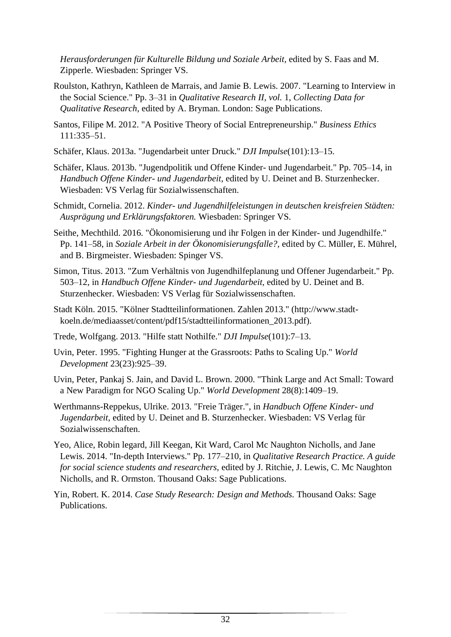*Herausforderungen für Kulturelle Bildung und Soziale Arbeit,* edited by S. Faas and M. Zipperle. Wiesbaden: Springer VS.

- Roulston, Kathryn, Kathleen de Marrais, and Jamie B. Lewis. 2007. "Learning to Interview in the Social Science." Pp. 3–31 in *Qualitative Research II, vol.* 1, *Collecting Data for Qualitative Research,* edited by A. Bryman. London: Sage Publications.
- Santos, Filipe M. 2012. "A Positive Theory of Social Entrepreneurship." *Business Ethics* 111:335–51.
- Schäfer, Klaus. 2013a. "Jugendarbeit unter Druck." *DJI Impulse*(101):13–15.
- Schäfer, Klaus. 2013b. "Jugendpolitik und Offene Kinder- und Jugendarbeit." Pp. 705–14, in *Handbuch Offene Kinder- und Jugendarbeit,* edited by U. Deinet and B. Sturzenhecker. Wiesbaden: VS Verlag für Sozialwissenschaften.
- Schmidt, Cornelia. 2012. *Kinder- und Jugendhilfeleistungen in deutschen kreisfreien Städten: Ausprägung und Erklärungsfaktoren.* Wiesbaden: Springer VS.
- Seithe, Mechthild. 2016. "Ökonomisierung und ihr Folgen in der Kinder- und Jugendhilfe." Pp. 141–58, in *Soziale Arbeit in der Ökonomisierungsfalle?,* edited by C. Müller, E. Mührel, and B. Birgmeister. Wiesbaden: Spinger VS.
- Simon, Titus. 2013. "Zum Verhältnis von Jugendhilfeplanung und Offener Jugendarbeit." Pp. 503–12, in *Handbuch Offene Kinder- und Jugendarbeit,* edited by U. Deinet and B. Sturzenhecker. Wiesbaden: VS Verlag für Sozialwissenschaften.
- Stadt Köln. 2015. "Kölner Stadtteilinformationen. Zahlen 2013." (http://www.stadtkoeln.de/mediaasset/content/pdf15/stadtteilinformationen\_2013.pdf).
- Trede, Wolfgang. 2013. "Hilfe statt Nothilfe." *DJI Impulse*(101):7–13.
- Uvin, Peter. 1995. "Fighting Hunger at the Grassroots: Paths to Scaling Up." *World Development* 23(23):925–39.
- Uvin, Peter, Pankaj S. Jain, and David L. Brown. 2000. "Think Large and Act Small: Toward a New Paradigm for NGO Scaling Up." *World Development* 28(8):1409–19.
- Werthmanns-Reppekus, Ulrike. 2013. "Freie Träger.", in *Handbuch Offene Kinder- und Jugendarbeit,* edited by U. Deinet and B. Sturzenhecker. Wiesbaden: VS Verlag für Sozialwissenschaften.
- Yeo, Alice, Robin legard, Jill Keegan, Kit Ward, Carol Mc Naughton Nicholls, and Jane Lewis. 2014. "In-depth Interviews." Pp. 177–210, in *Qualitative Research Practice. A guide for social science students and researchers,* edited by J. Ritchie, J. Lewis, C. Mc Naughton Nicholls, and R. Ormston. Thousand Oaks: Sage Publications.
- Yin, Robert. K. 2014. *Case Study Research: Design and Methods.* Thousand Oaks: Sage Publications.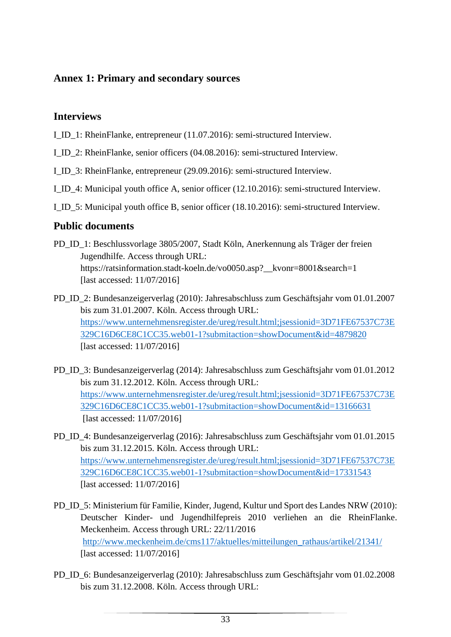## <span id="page-35-0"></span>**Annex 1: Primary and secondary sources**

#### **Interviews**

- I\_ID\_1: RheinFlanke, entrepreneur (11.07.2016): semi-structured Interview.
- I\_ID\_2: RheinFlanke, senior officers (04.08.2016): semi-structured Interview.
- I\_ID\_3: RheinFlanke, entrepreneur (29.09.2016): semi-structured Interview.
- I\_ID\_4: Municipal youth office A, senior officer (12.10.2016): semi-structured Interview.
- I\_ID\_5: Municipal youth office B, senior officer (18.10.2016): semi-structured Interview.

## **Public documents**

- PD\_ID\_1: Beschlussvorlage 3805/2007, Stadt Köln, Anerkennung als Träger der freien Jugendhilfe. Access through URL: https://ratsinformation.stadt-koeln.de/vo0050.asp?\_\_kvonr=8001&search=1 [last accessed: 11/07/2016]
- PD\_ID\_2: Bundesanzeigerverlag (2010): Jahresabschluss zum Geschäftsjahr vom 01.01.2007 bis zum 31.01.2007. Köln. Access through URL: [https://www.unternehmensregister.de/ureg/result.html;jsessionid=3D71FE67537C73E](https://www.unternehmensregister.de/ureg/result.html;jsessionid=3D71FE67537C73E329C16D6CE8C1CC35.web01-1?submitaction=showDocument&id=4879820) [329C16D6CE8C1CC35.web01-1?submitaction=showDocument&id=4879820](https://www.unternehmensregister.de/ureg/result.html;jsessionid=3D71FE67537C73E329C16D6CE8C1CC35.web01-1?submitaction=showDocument&id=4879820) [last accessed: 11/07/2016]
- PD ID 3: Bundesanzeigerverlag (2014): Jahresabschluss zum Geschäftsjahr vom 01.01.2012 bis zum 31.12.2012. Köln. Access through URL: [https://www.unternehmensregister.de/ureg/result.html;jsessionid=3D71FE67537C73E](https://www.unternehmensregister.de/ureg/result.html;jsessionid=3D71FE67537C73E329C16D6CE8C1CC35.web01-1?submitaction=showDocument&id=13166631) [329C16D6CE8C1CC35.web01-1?submitaction=showDocument&id=13166631](https://www.unternehmensregister.de/ureg/result.html;jsessionid=3D71FE67537C73E329C16D6CE8C1CC35.web01-1?submitaction=showDocument&id=13166631) [last accessed: 11/07/2016]
- PD\_ID\_4: Bundesanzeigerverlag (2016): Jahresabschluss zum Geschäftsjahr vom 01.01.2015 bis zum 31.12.2015. Köln. Access through URL: [https://www.unternehmensregister.de/ureg/result.html;jsessionid=3D71FE67537C73E](https://www.unternehmensregister.de/ureg/result.html;jsessionid=3D71FE67537C73E329C16D6CE8C1CC35.web01-1?submitaction=showDocument&id=17331543) [329C16D6CE8C1CC35.web01-1?submitaction=showDocument&id=17331543](https://www.unternehmensregister.de/ureg/result.html;jsessionid=3D71FE67537C73E329C16D6CE8C1CC35.web01-1?submitaction=showDocument&id=17331543) [last accessed: 11/07/2016]
- PD ID 5: Ministerium für Familie, Kinder, Jugend, Kultur und Sport des Landes NRW (2010): Deutscher Kinder- und Jugendhilfepreis 2010 verliehen an die RheinFlanke. Meckenheim. Access through URL: 22/11/2016 [http://www.meckenheim.de/cms117/aktuelles/mitteilungen\\_rathaus/artikel/21341/](http://www.meckenheim.de/cms117/aktuelles/mitteilungen_rathaus/artikel/21341/) [last accessed: 11/07/2016]
- PD\_ID\_6: Bundesanzeigerverlag (2010): Jahresabschluss zum Geschäftsjahr vom 01.02.2008 bis zum 31.12.2008. Köln. Access through URL: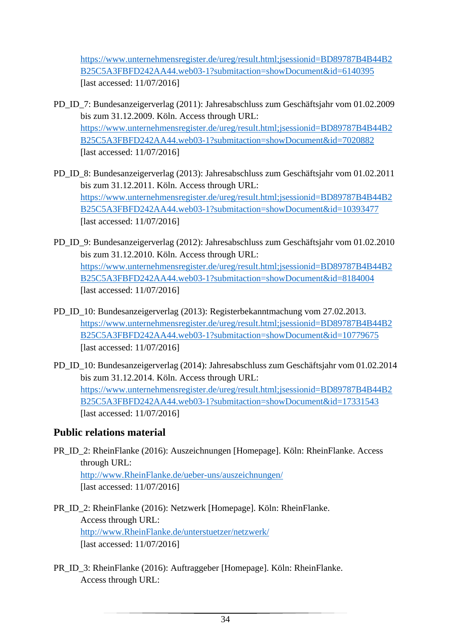[https://www.unternehmensregister.de/ureg/result.html;jsessionid=BD89787B4B44B2](https://www.unternehmensregister.de/ureg/result.html;jsessionid=BD89787B4B44B2B25C5A3FBFD242AA44.web03-1?submitaction=showDocument&id=6140395) [B25C5A3FBFD242AA44.web03-1?submitaction=showDocument&id=6140395](https://www.unternehmensregister.de/ureg/result.html;jsessionid=BD89787B4B44B2B25C5A3FBFD242AA44.web03-1?submitaction=showDocument&id=6140395) [last accessed: 11/07/2016]

- PD\_ID\_7: Bundesanzeigerverlag (2011): Jahresabschluss zum Geschäftsjahr vom 01.02.2009 bis zum 31.12.2009. Köln. Access through URL: [https://www.unternehmensregister.de/ureg/result.html;jsessionid=BD89787B4B44B2](https://www.unternehmensregister.de/ureg/result.html;jsessionid=BD89787B4B44B2B25C5A3FBFD242AA44.web03-1?submitaction=showDocument&id=7020882) [B25C5A3FBFD242AA44.web03-1?submitaction=showDocument&id=7020882](https://www.unternehmensregister.de/ureg/result.html;jsessionid=BD89787B4B44B2B25C5A3FBFD242AA44.web03-1?submitaction=showDocument&id=7020882) [last accessed: 11/07/2016]
- PD\_ID\_8: Bundesanzeigerverlag (2013): Jahresabschluss zum Geschäftsjahr vom 01.02.2011 bis zum 31.12.2011. Köln. Access through URL: [https://www.unternehmensregister.de/ureg/result.html;jsessionid=BD89787B4B44B2](https://www.unternehmensregister.de/ureg/result.html;jsessionid=BD89787B4B44B2B25C5A3FBFD242AA44.web03-1?submitaction=showDocument&id=10393477) [B25C5A3FBFD242AA44.web03-1?submitaction=showDocument&id=10393477](https://www.unternehmensregister.de/ureg/result.html;jsessionid=BD89787B4B44B2B25C5A3FBFD242AA44.web03-1?submitaction=showDocument&id=10393477) [last accessed: 11/07/2016]
- PD\_ID\_9: Bundesanzeigerverlag (2012): Jahresabschluss zum Geschäftsjahr vom 01.02.2010 bis zum 31.12.2010. Köln. Access through URL: [https://www.unternehmensregister.de/ureg/result.html;jsessionid=BD89787B4B44B2](https://www.unternehmensregister.de/ureg/result.html;jsessionid=BD89787B4B44B2B25C5A3FBFD242AA44.web03-1?submitaction=showDocument&id=8184004) [B25C5A3FBFD242AA44.web03-1?submitaction=showDocument&id=8184004](https://www.unternehmensregister.de/ureg/result.html;jsessionid=BD89787B4B44B2B25C5A3FBFD242AA44.web03-1?submitaction=showDocument&id=8184004) [last accessed: 11/07/2016]
- PD\_ID\_10: Bundesanzeigerverlag (2013): Registerbekanntmachung vom 27.02.2013. [https://www.unternehmensregister.de/ureg/result.html;jsessionid=BD89787B4B44B2](https://www.unternehmensregister.de/ureg/result.html;jsessionid=BD89787B4B44B2B25C5A3FBFD242AA44.web03-1?submitaction=showDocument&id=10779675) [B25C5A3FBFD242AA44.web03-1?submitaction=showDocument&id=10779675](https://www.unternehmensregister.de/ureg/result.html;jsessionid=BD89787B4B44B2B25C5A3FBFD242AA44.web03-1?submitaction=showDocument&id=10779675) [last accessed: 11/07/2016]
- PD\_ID\_10: Bundesanzeigerverlag (2014): Jahresabschluss zum Geschäftsjahr vom 01.02.2014 bis zum 31.12.2014. Köln. Access through URL: [https://www.unternehmensregister.de/ureg/result.html;jsessionid=BD89787B4B44B2](https://www.unternehmensregister.de/ureg/result.html;jsessionid=BD89787B4B44B2B25C5A3FBFD242AA44.web03-1?submitaction=showDocument&id=17331543) [B25C5A3FBFD242AA44.web03-1?submitaction=showDocument&id=17331543](https://www.unternehmensregister.de/ureg/result.html;jsessionid=BD89787B4B44B2B25C5A3FBFD242AA44.web03-1?submitaction=showDocument&id=17331543) [last accessed: 11/07/2016]

## **Public relations material**

- PR\_ID\_2: RheinFlanke (2016): Auszeichnungen [Homepage]. Köln: RheinFlanke. Access through URL: [http://www.RheinFlanke.de/ueber-uns/auszeichnungen/](http://www.rheinflanke.de/ueber-uns/auszeichnungen/) [last accessed: 11/07/2016]
- PR\_ID\_2: RheinFlanke (2016): Netzwerk [Homepage]. Köln: RheinFlanke. Access through URL: [http://www.RheinFlanke.de/unterstuetzer/netzwerk/](http://www.rheinflanke.de/unterstuetzer/netzwerk/) [last accessed: 11/07/2016]
- PR\_ID\_3: RheinFlanke (2016): Auftraggeber [Homepage]. Köln: RheinFlanke. Access through URL: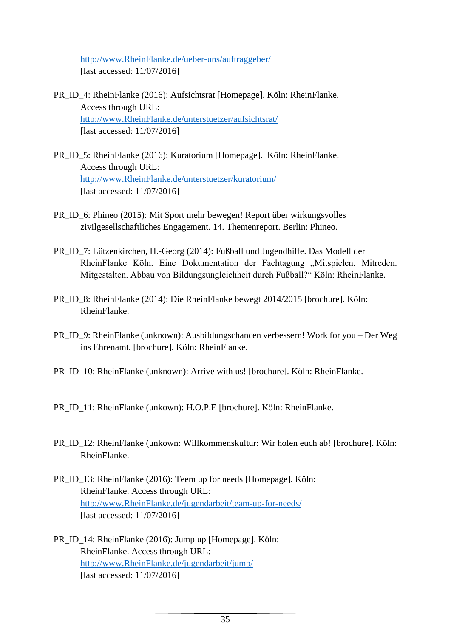[http://www.RheinFlanke.de/ueber-uns/auftraggeber/](http://www.rheinflanke.de/ueber-uns/auftraggeber/) [last accessed: 11/07/2016]

- PR\_ID\_4: RheinFlanke (2016): Aufsichtsrat [Homepage]. Köln: RheinFlanke. Access through URL: [http://www.RheinFlanke.de/unterstuetzer/aufsichtsrat/](http://www.rheinflanke.de/unterstuetzer/aufsichtsrat/) [last accessed: 11/07/2016]
- PR\_ID\_5: RheinFlanke (2016): Kuratorium [Homepage]. Köln: RheinFlanke. Access through URL: [http://www.RheinFlanke.de/unterstuetzer/kuratorium/](http://www.rheinflanke.de/unterstuetzer/kuratorium/) [last accessed: 11/07/2016]
- PR\_ID\_6: Phineo (2015): Mit Sport mehr bewegen! Report über wirkungsvolles zivilgesellschaftliches Engagement. 14. Themenreport. Berlin: Phineo.
- PR\_ID\_7: Lützenkirchen, H.-Georg (2014): Fußball und Jugendhilfe. Das Modell der RheinFlanke Köln. Eine Dokumentation der Fachtagung "Mitspielen. Mitreden. Mitgestalten. Abbau von Bildungsungleichheit durch Fußball?" Köln: RheinFlanke.
- PR\_ID\_8: RheinFlanke (2014): Die RheinFlanke bewegt 2014/2015 [brochure]. Köln: RheinFlanke.
- PR\_ID\_9: RheinFlanke (unknown): Ausbildungschancen verbessern! Work for you Der Weg ins Ehrenamt. [brochure]. Köln: RheinFlanke.
- PR\_ID\_10: RheinFlanke (unknown): Arrive with us! [brochure]. Köln: RheinFlanke.
- PR\_ID\_11: RheinFlanke (unkown): H.O.P.E [brochure]. Köln: RheinFlanke.
- PR\_ID\_12: RheinFlanke (unkown: Willkommenskultur: Wir holen euch ab! [brochure]. Köln: RheinFlanke.
- PR\_ID\_13: RheinFlanke (2016): Teem up for needs [Homepage]. Köln: RheinFlanke. Access through URL: [http://www.RheinFlanke.de/jugendarbeit/team-up-for-needs/](http://www.rheinflanke.de/jugendarbeit/team-up-for-needs/) [last accessed: 11/07/2016]
- PR\_ID\_14: RheinFlanke (2016): Jump up [Homepage]. Köln: RheinFlanke. Access through URL: [http://www.RheinFlanke.de/jugendarbeit/jump/](http://www.rheinflanke.de/jugendarbeit/jump/) [last accessed: 11/07/2016]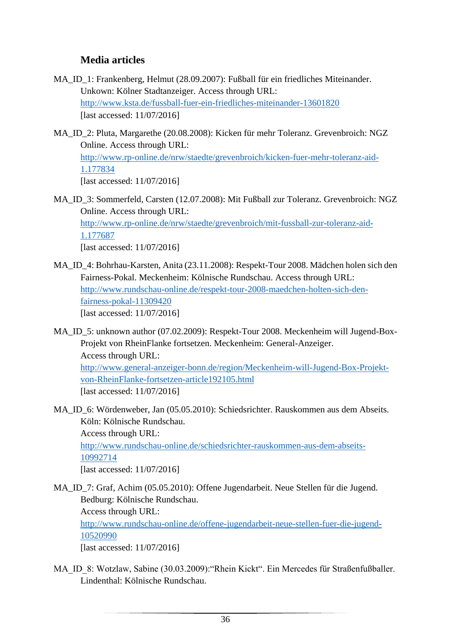## **Media articles**

- MA\_ID\_1: Frankenberg, Helmut (28.09.2007): Fußball für ein friedliches Miteinander. Unkown: Kölner Stadtanzeiger. Access through URL: <http://www.ksta.de/fussball-fuer-ein-friedliches-miteinander-13601820> [last accessed: 11/07/2016]
- MA\_ID\_2: Pluta, Margarethe (20.08.2008): Kicken für mehr Toleranz. Grevenbroich: NGZ Online. Access through URL: [http://www.rp-online.de/nrw/staedte/grevenbroich/kicken-fuer-mehr-toleranz-aid-](http://www.rp-online.de/nrw/staedte/grevenbroich/kicken-fuer-mehr-toleranz-aid-1.177834)[1.177834](http://www.rp-online.de/nrw/staedte/grevenbroich/kicken-fuer-mehr-toleranz-aid-1.177834) [last accessed: 11/07/2016]
- MA\_ID\_3: Sommerfeld, Carsten (12.07.2008): Mit Fußball zur Toleranz. Grevenbroich: NGZ Online. Access through URL: [http://www.rp-online.de/nrw/staedte/grevenbroich/mit-fussball-zur-toleranz-aid-](http://www.rp-online.de/nrw/staedte/grevenbroich/mit-fussball-zur-toleranz-aid-1.177687)[1.177687](http://www.rp-online.de/nrw/staedte/grevenbroich/mit-fussball-zur-toleranz-aid-1.177687) [last accessed: 11/07/2016]
- MA\_ID\_4: Bohrhau-Karsten, Anita (23.11.2008): Respekt-Tour 2008. Mädchen holen sich den Fairness-Pokal. Meckenheim: Kölnische Rundschau. Access through URL: [http://www.rundschau-online.de/respekt-tour-2008-maedchen-holten-sich-den](http://www.rundschau-online.de/respekt-tour-2008-maedchen-holten-sich-den-fairness-pokal-11309420)[fairness-pokal-11309420](http://www.rundschau-online.de/respekt-tour-2008-maedchen-holten-sich-den-fairness-pokal-11309420) [last accessed: 11/07/2016]
- MA\_ID\_5: unknown author (07.02.2009): Respekt-Tour 2008. Meckenheim will Jugend-Box-Projekt von RheinFlanke fortsetzen. Meckenheim: General-Anzeiger. Access through URL:

[http://www.general-anzeiger-bonn.de/region/Meckenheim-will-Jugend-Box-Projekt](http://www.general-anzeiger-bonn.de/region/Meckenheim-will-Jugend-Box-Projekt-von-RheinFlanke-fortsetzen-article192105.html)[von-RheinFlanke-fortsetzen-article192105.html](http://www.general-anzeiger-bonn.de/region/Meckenheim-will-Jugend-Box-Projekt-von-RheinFlanke-fortsetzen-article192105.html) [last accessed: 11/07/2016]

MA\_ID\_6: Wördenweber, Jan (05.05.2010): Schiedsrichter. Rauskommen aus dem Abseits. Köln: Kölnische Rundschau.

Access through URL:

[http://www.rundschau-online.de/schiedsrichter-rauskommen-aus-dem-abseits-](http://www.rundschau-online.de/schiedsrichter-rauskommen-aus-dem-abseits-10992714)[10992714](http://www.rundschau-online.de/schiedsrichter-rauskommen-aus-dem-abseits-10992714)

[last accessed: 11/07/2016]

MA\_ID\_7: Graf, Achim (05.05.2010): Offene Jugendarbeit. Neue Stellen für die Jugend. Bedburg: Kölnische Rundschau. Access through URL: [http://www.rundschau-online.de/offene-jugendarbeit-neue-stellen-fuer-die-jugend-](http://www.rundschau-online.de/offene-jugendarbeit-neue-stellen-fuer-die-jugend-10520990)

[10520990](http://www.rundschau-online.de/offene-jugendarbeit-neue-stellen-fuer-die-jugend-10520990)

[last accessed: 11/07/2016]

MA\_ID\_8: Wotzlaw, Sabine (30.03.2009):"Rhein Kickt". Ein Mercedes für Straßenfußballer. Lindenthal: Kölnische Rundschau.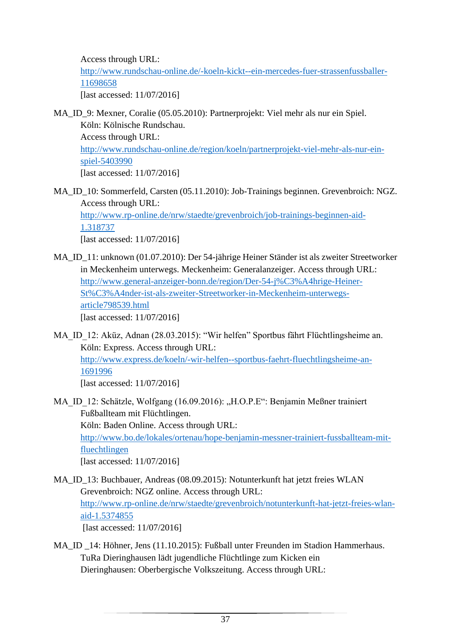Access through URL: [http://www.rundschau-online.de/-koeln-kickt--ein-mercedes-fuer-strassenfussballer-](http://www.rundschau-online.de/-koeln-kickt--ein-mercedes-fuer-strassenfussballer-11698658)[11698658](http://www.rundschau-online.de/-koeln-kickt--ein-mercedes-fuer-strassenfussballer-11698658) [last accessed: 11/07/2016]

- MA\_ID\_9: Mexner, Coralie (05.05.2010): Partnerprojekt: Viel mehr als nur ein Spiel. Köln: Kölnische Rundschau. Access through URL: [http://www.rundschau-online.de/region/koeln/partnerprojekt-viel-mehr-als-nur-ein](http://www.rundschau-online.de/region/koeln/partnerprojekt-viel-mehr-als-nur-ein-spiel-5403990)[spiel-5403990](http://www.rundschau-online.de/region/koeln/partnerprojekt-viel-mehr-als-nur-ein-spiel-5403990) [last accessed: 11/07/2016]
- MA\_ID\_10: Sommerfeld, Carsten (05.11.2010): Job-Trainings beginnen. Grevenbroich: NGZ. Access through URL: [http://www.rp-online.de/nrw/staedte/grevenbroich/job-trainings-beginnen-aid-](http://www.rp-online.de/nrw/staedte/grevenbroich/job-trainings-beginnen-aid-1.318737)[1.318737](http://www.rp-online.de/nrw/staedte/grevenbroich/job-trainings-beginnen-aid-1.318737)

[last accessed: 11/07/2016]

- MA\_ID\_11: unknown (01.07.2010): Der 54-jährige Heiner Ständer ist als zweiter Streetworker in Meckenheim unterwegs. Meckenheim: Generalanzeiger. Access through URL: [http://www.general-anzeiger-bonn.de/region/Der-54-j%C3%A4hrige-Heiner-](http://www.general-anzeiger-bonn.de/region/Der-54-j%C3%A4hrige-Heiner-St%C3%A4nder-ist-als-zweiter-Streetworker-in-Meckenheim-unterwegs-article798539.html)[St%C3%A4nder-ist-als-zweiter-Streetworker-in-Meckenheim-unterwegs](http://www.general-anzeiger-bonn.de/region/Der-54-j%C3%A4hrige-Heiner-St%C3%A4nder-ist-als-zweiter-Streetworker-in-Meckenheim-unterwegs-article798539.html)[article798539.html](http://www.general-anzeiger-bonn.de/region/Der-54-j%C3%A4hrige-Heiner-St%C3%A4nder-ist-als-zweiter-Streetworker-in-Meckenheim-unterwegs-article798539.html) [last accessed: 11/07/2016]
- MA\_ID\_12: Aküz, Adnan (28.03.2015): "Wir helfen" Sportbus fährt Flüchtlingsheime an. Köln: Express. Access through URL: [http://www.express.de/koeln/-wir-helfen--sportbus-faehrt-fluechtlingsheime-an-](http://www.express.de/koeln/-wir-helfen--sportbus-faehrt-fluechtlingsheime-an-1691996)[1691996](http://www.express.de/koeln/-wir-helfen--sportbus-faehrt-fluechtlingsheime-an-1691996) [last accessed: 11/07/2016]

MA ID 12: Schätzle, Wolfgang (16.09.2016): "H.O.P.E": Benjamin Meßner trainiert Fußballteam mit Flüchtlingen. Köln: Baden Online. Access through URL: [http://www.bo.de/lokales/ortenau/hope-benjamin-messner-trainiert-fussballteam-mit](http://www.bo.de/lokales/ortenau/hope-benjamin-messner-trainiert-fussballteam-mit-fluechtlingen)[fluechtlingen](http://www.bo.de/lokales/ortenau/hope-benjamin-messner-trainiert-fussballteam-mit-fluechtlingen) [last accessed: 11/07/2016]

- MA\_ID\_13: Buchbauer, Andreas (08.09.2015): Notunterkunft hat jetzt freies WLAN Grevenbroich: NGZ online. Access through URL: [http://www.rp-online.de/nrw/staedte/grevenbroich/notunterkunft-hat-jetzt-freies-wlan](http://www.rp-online.de/nrw/staedte/grevenbroich/notunterkunft-hat-jetzt-freies-wlan-aid-1.5374855)[aid-1.5374855](http://www.rp-online.de/nrw/staedte/grevenbroich/notunterkunft-hat-jetzt-freies-wlan-aid-1.5374855) [last accessed: 11/07/2016]
- MA ID 14: Höhner, Jens (11.10.2015): Fußball unter Freunden im Stadion Hammerhaus. TuRa Dieringhausen lädt jugendliche Flüchtlinge zum Kicken ein Dieringhausen: Oberbergische Volkszeitung. Access through URL: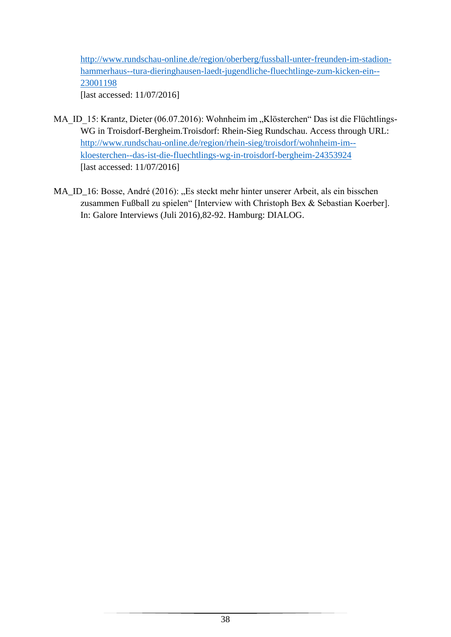[http://www.rundschau-online.de/region/oberberg/fussball-unter-freunden-im-stadion](http://www.rundschau-online.de/region/oberberg/fussball-unter-freunden-im-stadion-hammerhaus--tura-dieringhausen-laedt-jugendliche-fluechtlinge-zum-kicken-ein--23001198)[hammerhaus--tura-dieringhausen-laedt-jugendliche-fluechtlinge-zum-kicken-ein--](http://www.rundschau-online.de/region/oberberg/fussball-unter-freunden-im-stadion-hammerhaus--tura-dieringhausen-laedt-jugendliche-fluechtlinge-zum-kicken-ein--23001198) [23001198](http://www.rundschau-online.de/region/oberberg/fussball-unter-freunden-im-stadion-hammerhaus--tura-dieringhausen-laedt-jugendliche-fluechtlinge-zum-kicken-ein--23001198)

[last accessed: 11/07/2016]

- MA\_ID\_15: Krantz, Dieter (06.07.2016): Wohnheim im "Klösterchen" Das ist die Flüchtlings-WG in Troisdorf-Bergheim.Troisdorf: Rhein-Sieg Rundschau. Access through URL: [http://www.rundschau-online.de/region/rhein-sieg/troisdorf/wohnheim-im-](http://www.rundschau-online.de/region/rhein-sieg/troisdorf/wohnheim-im--kloesterchen--das-ist-die-fluechtlings-wg-in-troisdorf-bergheim-24353924) [kloesterchen--das-ist-die-fluechtlings-wg-in-troisdorf-bergheim-24353924](http://www.rundschau-online.de/region/rhein-sieg/troisdorf/wohnheim-im--kloesterchen--das-ist-die-fluechtlings-wg-in-troisdorf-bergheim-24353924) [last accessed: 11/07/2016]
- MA\_ID\_16: Bosse, André (2016): "Es steckt mehr hinter unserer Arbeit, als ein bisschen zusammen Fußball zu spielen" [Interview with Christoph Bex & Sebastian Koerber]. In: Galore Interviews (Juli 2016),82-92. Hamburg: DIALOG.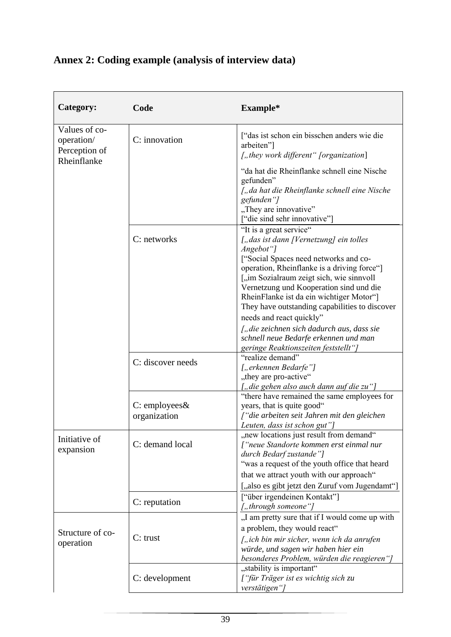| Category:                                                   | Code                          | Example*                                                                                                                                                                                                                                                                                                                                                                                                                                                                                                              |
|-------------------------------------------------------------|-------------------------------|-----------------------------------------------------------------------------------------------------------------------------------------------------------------------------------------------------------------------------------------------------------------------------------------------------------------------------------------------------------------------------------------------------------------------------------------------------------------------------------------------------------------------|
| Values of co-<br>operation/<br>Perception of<br>Rheinflanke | C: innovation                 | ["das ist schon ein bisschen anders wie die<br>arbeiten"]<br>["they work different" [organization]                                                                                                                                                                                                                                                                                                                                                                                                                    |
|                                                             |                               | "da hat die Rheinflanke schnell eine Nische<br>gefunden"<br>["da hat die Rheinflanke schnell eine Nische<br>gefunden"]<br>"They are innovative"<br>["die sind sehr innovative"]                                                                                                                                                                                                                                                                                                                                       |
|                                                             | C: networks                   | "It is a great service"<br>["das ist dann [Vernetzung] ein tolles<br>Angebot"]<br>["Social Spaces need networks and co-<br>operation, Rheinflanke is a driving force"]<br>["im Sozialraum zeigt sich, wie sinnvoll<br>Vernetzung und Kooperation sind und die<br>RheinFlanke ist da ein wichtiger Motor"]<br>They have outstanding capabilities to discover<br>needs and react quickly"<br>["die zeichnen sich dadurch aus, dass sie<br>schnell neue Bedarfe erkennen und man<br>geringe Reaktionszeiten feststellt"] |
|                                                             | C: discover needs             | "realize demand"<br>["erkennen Bedarfe"]<br>"they are pro-active"<br>["die gehen also auch dann auf die zu"]                                                                                                                                                                                                                                                                                                                                                                                                          |
|                                                             | C: employees&<br>organization | "there have remained the same employees for<br>years, that is quite good"<br>f"die arbeiten seit Jahren mit den gleichen<br>Leuten, dass ist schon gut"]                                                                                                                                                                                                                                                                                                                                                              |
| Initiative of<br>expansion                                  | C: demand local               | "new locations just result from demand"<br>["neue Standorte kommen erst einmal nur<br>durch Bedarf zustande"]<br>"was a request of the youth office that heard<br>that we attract youth with our approach"<br>[,also es gibt jetzt den Zuruf vom Jugendamt"]                                                                                                                                                                                                                                                          |
|                                                             | C: reputation                 | ["über irgendeinen Kontakt"]<br>["through someone"]                                                                                                                                                                                                                                                                                                                                                                                                                                                                   |
| Structure of co-<br>operation                               | $C$ : trust                   | "I am pretty sure that if I would come up with<br>a problem, they would react"<br>["ich bin mir sicher, wenn ich da anrufen<br>würde, und sagen wir haben hier ein<br>besonderes Problem, würden die reagieren"]                                                                                                                                                                                                                                                                                                      |
|                                                             | C: development                | "stability is important"<br>["für Träger ist es wichtig sich zu<br>verstätigen"]                                                                                                                                                                                                                                                                                                                                                                                                                                      |

# **Annex 2: Coding example (analysis of interview data)**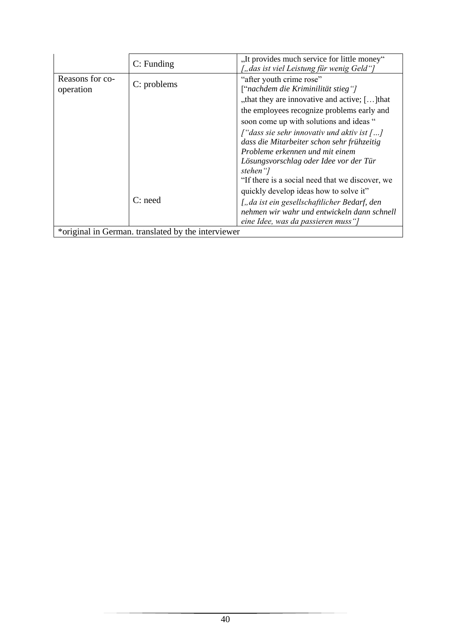|                                                    | $C:$ Funding | "It provides much service for little money"<br>["das ist viel Leistung für wenig Geld"]                         |
|----------------------------------------------------|--------------|-----------------------------------------------------------------------------------------------------------------|
| Reasons for co-<br>operation                       | C: problems  | "after youth crime rose"<br>["nachdem die Kriminilität stieg"]<br>"that they are innovative and active; [] that |
|                                                    |              | the employees recognize problems early and                                                                      |
|                                                    |              | soon come up with solutions and ideas "                                                                         |
|                                                    |              | $\int$ " dass sie sehr innovativ und aktiv ist $\int$ ]                                                         |
|                                                    |              | dass die Mitarbeiter schon sehr frühzeitig                                                                      |
|                                                    |              | Probleme erkennen und mit einem                                                                                 |
|                                                    |              | Lösungsvorschlag oder Idee vor der Tür<br>stehen "]                                                             |
|                                                    |              | "If there is a social need that we discover, we                                                                 |
|                                                    |              | quickly develop ideas how to solve it"                                                                          |
|                                                    | $C:$ need    | ["da ist ein gesellschaftlicher Bedarf, den                                                                     |
|                                                    |              | nehmen wir wahr und entwickeln dann schnell                                                                     |
|                                                    |              | eine Idee, was da passieren muss "]                                                                             |
| *original in German. translated by the interviewer |              |                                                                                                                 |